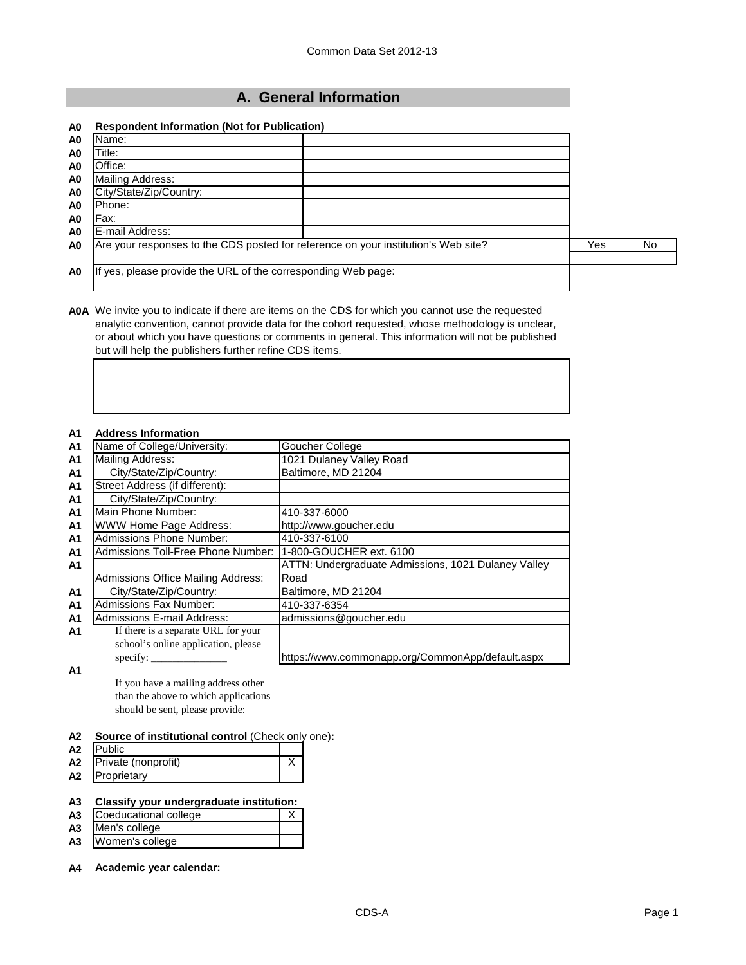## **A. General Information**

| A0 | <b>Respondent Information (Not for Publication)</b> |  |
|----|-----------------------------------------------------|--|
|    |                                                     |  |

| A <sub>0</sub> | Name:                                                                              |     |    |
|----------------|------------------------------------------------------------------------------------|-----|----|
| A <sub>0</sub> | Title:                                                                             |     |    |
| A <sub>0</sub> | Office:                                                                            |     |    |
| A <sub>0</sub> | <b>Mailing Address:</b>                                                            |     |    |
| A <sub>0</sub> | City/State/Zip/Country:                                                            |     |    |
| A <sub>0</sub> | Phone:                                                                             |     |    |
| A <sub>0</sub> | Fax:                                                                               |     |    |
| A <sub>0</sub> | E-mail Address:                                                                    |     |    |
| A <sub>0</sub> | Are your responses to the CDS posted for reference on your institution's Web site? | Yes | No |
|                |                                                                                    |     |    |
| A <sub>0</sub> | If yes, please provide the URL of the corresponding Web page:                      |     |    |

**A0A** We invite you to indicate if there are items on the CDS for which you cannot use the requested analytic convention, cannot provide data for the cohort requested, whose methodology is unclear, or about which you have questions or comments in general. This information will not be published but will help the publishers further refine CDS items.

#### **A1 Address Information**

| A <sub>1</sub> | Name of College/University:         | Goucher College                                     |
|----------------|-------------------------------------|-----------------------------------------------------|
| A1             | <b>Mailing Address:</b>             | 1021 Dulaney Valley Road                            |
| A1             | City/State/Zip/Country:             | Baltimore, MD 21204                                 |
| A <sub>1</sub> | Street Address (if different):      |                                                     |
| <b>A1</b>      | City/State/Zip/Country:             |                                                     |
| A <sub>1</sub> | Main Phone Number:                  | 410-337-6000                                        |
| A <sub>1</sub> | WWW Home Page Address:              | http://www.goucher.edu                              |
| A <sub>1</sub> | Admissions Phone Number:            | 410-337-6100                                        |
| A1             | Admissions Toll-Free Phone Number:  | 1-800-GOUCHER ext. 6100                             |
| A1             |                                     | ATTN: Undergraduate Admissions, 1021 Dulaney Valley |
|                | Admissions Office Mailing Address:  | Road                                                |
| <b>A1</b>      | City/State/Zip/Country:             | Baltimore, MD 21204                                 |
| A <sub>1</sub> | Admissions Fax Number:              | 410-337-6354                                        |
| A <sub>1</sub> | Admissions E-mail Address:          | admissions@goucher.edu                              |
| A1             | If there is a separate URL for your |                                                     |
|                | school's online application, please |                                                     |
|                | specify:                            | https://www.commonapp.org/CommonApp/default.aspx    |
|                |                                     |                                                     |

**A1**

If you have a mailing address other than the above to which applications should be sent, please provide:

#### **A2 Source of institutional control** (Check only one)**:**

| A <sup>2</sup> | <b>IPublic</b>      |  |
|----------------|---------------------|--|
| A2             | Private (nonprofit) |  |
| A2             | Proprietary         |  |

# **A3 Classify your undergraduate institution:**

- A3 Coeducational college<br>A3 Men's college
- A3 Men's college<br>A3 Women's colle **A3** Women's college
- **A4 Academic year calendar:**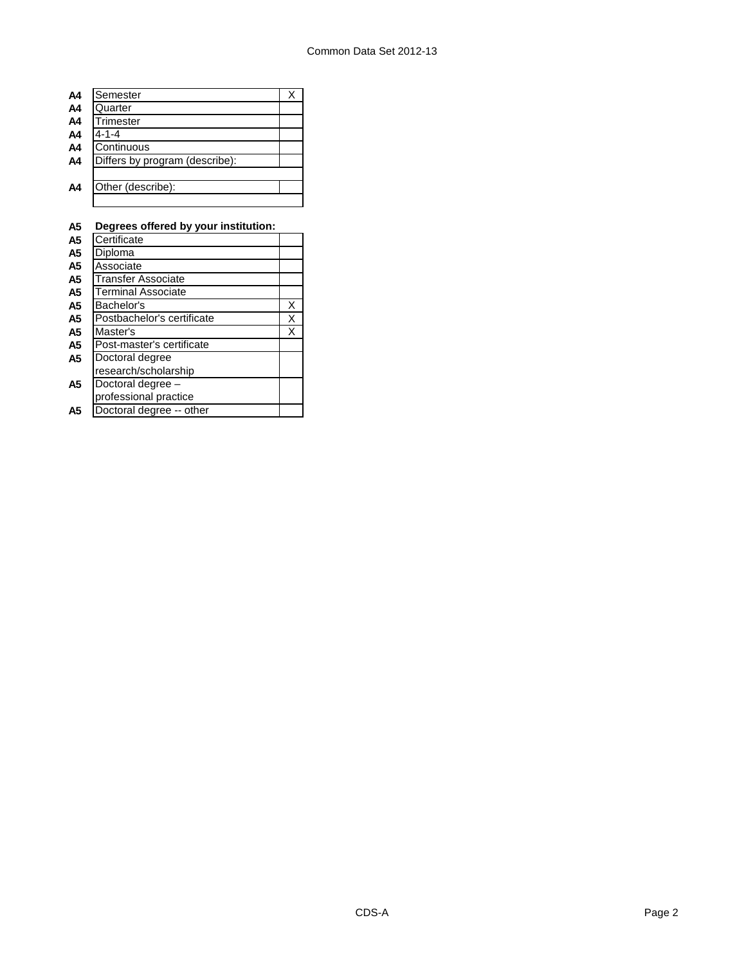| A <sub>4</sub> | Semester                       |  |
|----------------|--------------------------------|--|
| A <sub>4</sub> | Quarter                        |  |
| A <sub>4</sub> | Trimester                      |  |
| A <sub>4</sub> | $4 - 1 - 4$                    |  |
| A <sub>4</sub> | Continuous                     |  |
| A <sub>4</sub> | Differs by program (describe): |  |
|                |                                |  |
| A <sub>4</sub> | Other (describe):              |  |
|                |                                |  |

| Α5             | Degrees offered by your institution: |   |
|----------------|--------------------------------------|---|
| A5             | Certificate                          |   |
| A5             | Diploma                              |   |
| A5             | Associate                            |   |
| A5             | Transfer Associate                   |   |
| A5             | <b>Terminal Associate</b>            |   |
| A5             | Bachelor's                           | Х |
| A5             | Postbachelor's certificate           | X |
| A5             | Master's                             | X |
| A5             | Post-master's certificate            |   |
| А5             | Doctoral degree                      |   |
|                | research/scholarship                 |   |
| A <sub>5</sub> | Doctoral degree -                    |   |
|                | professional practice                |   |
| А5             | Doctoral degree -- other             |   |
|                |                                      |   |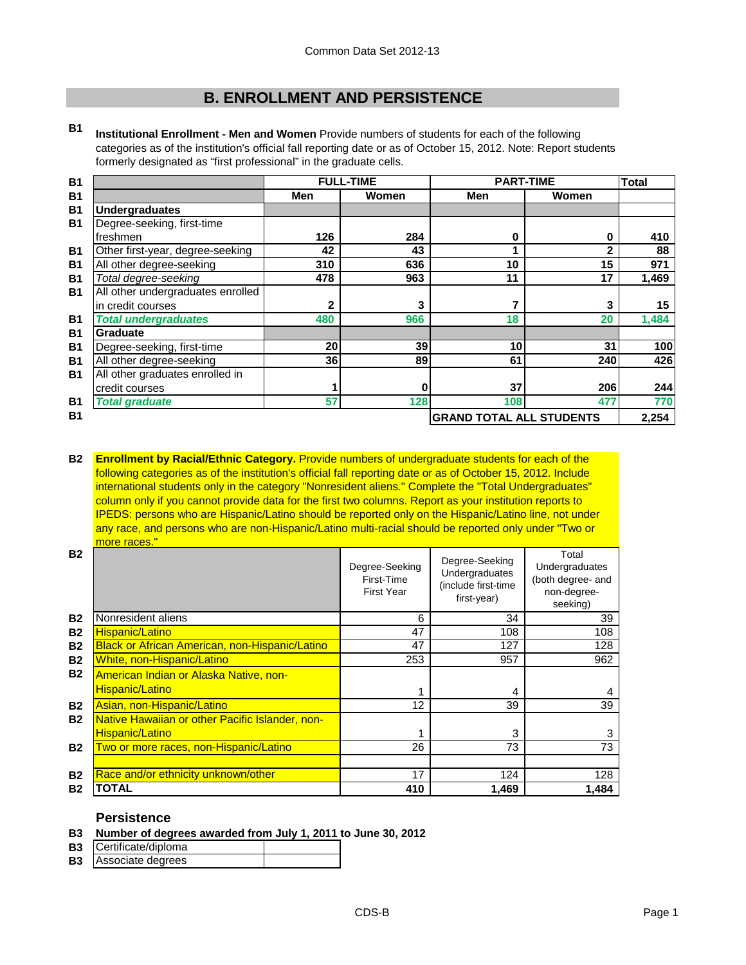## **B. ENROLLMENT AND PERSISTENCE**

**B1 Institutional Enrollment - Men and Women** Provide numbers of students for each of the following categories as of the institution's official fall reporting date or as of October 15, 2012. Note: Report students formerly designated as "first professional" in the graduate cells.

| <b>B1</b>                                     |     | <b>FULL-TIME</b> |                                 | <b>PART-TIME</b><br><b>Total</b> |       |
|-----------------------------------------------|-----|------------------|---------------------------------|----------------------------------|-------|
| <b>B1</b>                                     | Men | Women            | Men<br>Women                    |                                  |       |
| <b>B1</b><br><b>Undergraduates</b>            |     |                  |                                 |                                  |       |
| Degree-seeking, first-time<br><b>B1</b>       |     |                  |                                 |                                  |       |
| freshmen                                      | 126 | 284              | 0                               | 0                                | 410   |
| <b>B1</b><br>Other first-year, degree-seeking | 42  | 43               |                                 | 2                                | 88    |
| All other degree-seeking<br><b>B1</b>         | 310 | 636              | 10                              | 15                               | 971   |
| Total degree-seeking<br><b>B1</b>             | 478 | 963              | 11                              | 17                               | 1,469 |
| All other undergraduates enrolled             |     |                  |                                 |                                  |       |
| in credit courses                             | 2   | 3                |                                 | 3                                | 15    |
| <b>B1</b><br><b>Total undergraduates</b>      | 480 | 966              | 18                              | 20                               | 1,484 |
| <b>Graduate</b><br><b>B1</b>                  |     |                  |                                 |                                  |       |
| Degree-seeking, first-time<br><b>B1</b>       | 20  | 39               | 10                              | 31                               | 100   |
| All other degree-seeking                      | 36  | 89               | 61                              | 240                              | 426   |
| All other graduates enrolled in<br><b>B1</b>  |     |                  |                                 |                                  |       |
| credit courses                                |     | 0                | 37                              | 206                              | 244   |
| <b>Total graduate</b><br><b>B1</b>            | 57  | 128              | 108                             | 477                              | 770   |
| <b>B1</b>                                     |     |                  | <b>GRAND TOTAL ALL STUDENTS</b> |                                  | 2,254 |

**B2 Enrollment by Racial/Ethnic Category.** Provide numbers of undergraduate students for each of the following categories as of the institution's official fall reporting date or as of October 15, 2012. Include international students only in the category "Nonresident aliens." Complete the "Total Undergraduates" column only if you cannot provide data for the first two columns. Report as your institution reports to IPEDS: persons who are Hispanic/Latino should be reported only on the Hispanic/Latino line, not under any race, and persons who are non-Hispanic/Latino multi-racial should be reported only under "Two or more races."

| <b>B2</b> |                                                                           | Degree-Seeking<br>First-Time<br><b>First Year</b> | Degree-Seeking<br>Undergraduates<br>(include first-time<br>first-year) | Total<br>Undergraduates<br>(both degree- and<br>non-degree-<br>seeking) |
|-----------|---------------------------------------------------------------------------|---------------------------------------------------|------------------------------------------------------------------------|-------------------------------------------------------------------------|
| <b>B2</b> | Nonresident aliens                                                        | 6                                                 | 34                                                                     | 39                                                                      |
| <b>B2</b> | <b>Hispanic/Latino</b>                                                    | 47                                                | 108                                                                    | 108                                                                     |
| <b>B2</b> | Black or African American, non-Hispanic/Latino                            | 47                                                | 127                                                                    | 128                                                                     |
| <b>B2</b> | White, non-Hispanic/Latino                                                | 253                                               | 957                                                                    | 962                                                                     |
| <b>B2</b> | American Indian or Alaska Native, non-<br><b>Hispanic/Latino</b>          |                                                   | 4                                                                      | 4                                                                       |
| <b>B2</b> | Asian, non-Hispanic/Latino                                                | 12                                                | 39                                                                     | 39                                                                      |
| <b>B2</b> | Native Hawaiian or other Pacific Islander, non-<br><b>Hispanic/Latino</b> |                                                   | 3                                                                      | 3                                                                       |
| <b>B2</b> | Two or more races, non-Hispanic/Latino                                    | 26                                                | 73                                                                     | 73                                                                      |
|           |                                                                           |                                                   |                                                                        |                                                                         |
| <b>B2</b> | Race and/or ethnicity unknown/other                                       | 17                                                | 124                                                                    | 128                                                                     |
| <b>B2</b> | <b>TOTAL</b>                                                              | 410                                               | 1,469                                                                  | 1,484                                                                   |

## **Persistence**

- **B3 Number of degrees awarded from July 1, 2011 to June 30, 2012**
- **B3** Certificate/diploma
- **B3** Associate degrees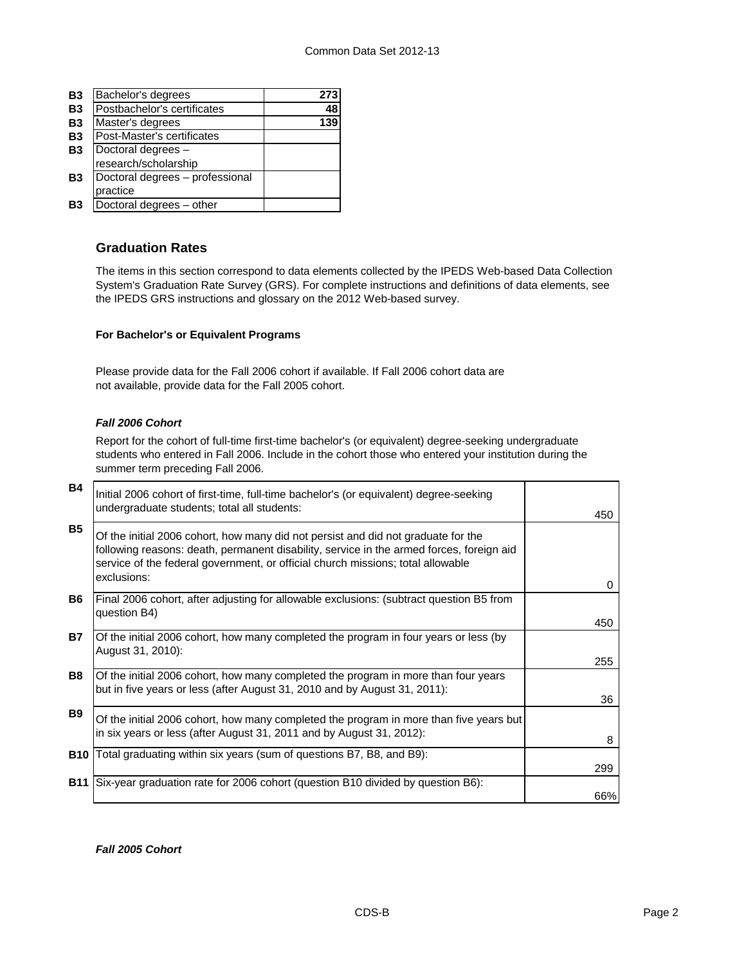| <b>B3</b>      | Bachelor's degrees              | 273 |
|----------------|---------------------------------|-----|
| <b>B3</b>      | Postbachelor's certificates     | 48  |
| <b>B3</b>      | Master's degrees                | 139 |
| <b>B3</b>      | Post-Master's certificates      |     |
| <b>B3</b>      | Doctoral degrees -              |     |
|                | research/scholarship            |     |
| B <sub>3</sub> | Doctoral degrees - professional |     |
|                | practice                        |     |
| Β3             | Doctoral degrees - other        |     |

## **Graduation Rates**

The items in this section correspond to data elements collected by the IPEDS Web-based Data Collection System's Graduation Rate Survey (GRS). For complete instructions and definitions of data elements, see the IPEDS GRS instructions and glossary on the 2012 Web-based survey.

#### **For Bachelor's or Equivalent Programs**

Please provide data for the Fall 2006 cohort if available. If Fall 2006 cohort data are not available, provide data for the Fall 2005 cohort.

#### *Fall 2006 Cohort*

Report for the cohort of full-time first-time bachelor's (or equivalent) degree-seeking undergraduate students who entered in Fall 2006. Include in the cohort those who entered your institution during the summer term preceding Fall 2006.

| <b>B4</b>  | Initial 2006 cohort of first-time, full-time bachelor's (or equivalent) degree-seeking<br>undergraduate students; total all students:                                                                                                                                           |          |
|------------|---------------------------------------------------------------------------------------------------------------------------------------------------------------------------------------------------------------------------------------------------------------------------------|----------|
|            |                                                                                                                                                                                                                                                                                 | 450      |
| <b>B5</b>  | Of the initial 2006 cohort, how many did not persist and did not graduate for the<br>following reasons: death, permanent disability, service in the armed forces, foreign aid<br>service of the federal government, or official church missions; total allowable<br>exclusions: | $\Omega$ |
| B6         | Final 2006 cohort, after adjusting for allowable exclusions: (subtract question B5 from<br>question B4)                                                                                                                                                                         |          |
|            |                                                                                                                                                                                                                                                                                 | 450      |
| <b>B7</b>  | Of the initial 2006 cohort, how many completed the program in four years or less (by<br>August 31, 2010):                                                                                                                                                                       |          |
|            |                                                                                                                                                                                                                                                                                 | 255      |
| <b>B8</b>  | Of the initial 2006 cohort, how many completed the program in more than four years<br>but in five years or less (after August 31, 2010 and by August 31, 2011):                                                                                                                 | 36       |
| <b>B</b> 9 | Of the initial 2006 cohort, how many completed the program in more than five years but<br>in six years or less (after August 31, 2011 and by August 31, 2012):                                                                                                                  | 8        |
| <b>B10</b> | Total graduating within six years (sum of questions B7, B8, and B9):                                                                                                                                                                                                            | 299      |
| <b>B11</b> | Six-year graduation rate for 2006 cohort (question B10 divided by question B6):                                                                                                                                                                                                 | 66%      |

*Fall 2005 Cohort*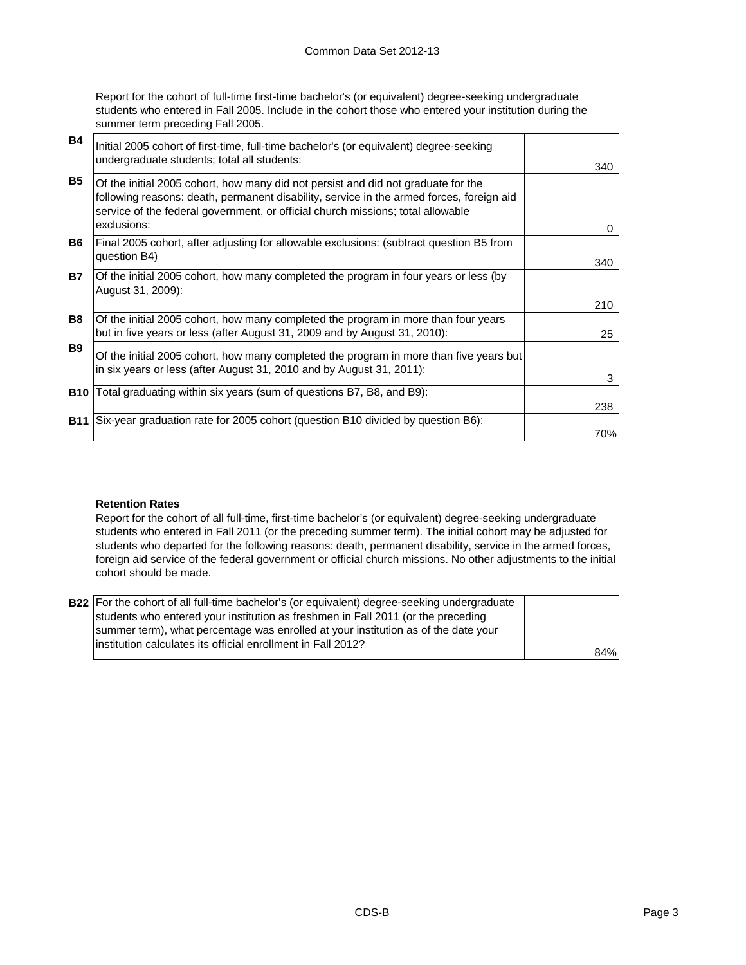Report for the cohort of full-time first-time bachelor's (or equivalent) degree-seeking undergraduate students who entered in Fall 2005. Include in the cohort those who entered your institution during the summer term preceding Fall 2005.

| <b>B4</b>  | Initial 2005 cohort of first-time, full-time bachelor's (or equivalent) degree-seeking<br>undergraduate students; total all students:                                                                                                                                           | 340      |
|------------|---------------------------------------------------------------------------------------------------------------------------------------------------------------------------------------------------------------------------------------------------------------------------------|----------|
| <b>B5</b>  | Of the initial 2005 cohort, how many did not persist and did not graduate for the<br>following reasons: death, permanent disability, service in the armed forces, foreign aid<br>service of the federal government, or official church missions; total allowable<br>exclusions: | $\Omega$ |
| <b>B6</b>  | Final 2005 cohort, after adjusting for allowable exclusions: (subtract question B5 from<br>question B4)                                                                                                                                                                         | 340      |
| <b>B7</b>  | Of the initial 2005 cohort, how many completed the program in four years or less (by<br>August 31, 2009):                                                                                                                                                                       | 210      |
| <b>B8</b>  | Of the initial 2005 cohort, how many completed the program in more than four years<br>but in five years or less (after August 31, 2009 and by August 31, 2010):                                                                                                                 | 25       |
| <b>B</b> 9 | Of the initial 2005 cohort, how many completed the program in more than five years but<br>in six years or less (after August 31, 2010 and by August 31, 2011):                                                                                                                  | 3        |
| <b>B10</b> | Total graduating within six years (sum of questions B7, B8, and B9):                                                                                                                                                                                                            | 238      |
| <b>B11</b> | Six-year graduation rate for 2005 cohort (question B10 divided by question B6):                                                                                                                                                                                                 | 70%      |

#### **Retention Rates**

Report for the cohort of all full-time, first-time bachelor's (or equivalent) degree-seeking undergraduate students who entered in Fall 2011 (or the preceding summer term). The initial cohort may be adjusted for students who departed for the following reasons: death, permanent disability, service in the armed forces, foreign aid service of the federal government or official church missions. No other adjustments to the initial cohort should be made.

| <b>B22</b> For the cohort of all full-time bachelor's (or equivalent) degree-seeking undergraduate |     |
|----------------------------------------------------------------------------------------------------|-----|
| students who entered your institution as freshmen in Fall 2011 (or the preceding                   |     |
| summer term), what percentage was enrolled at your institution as of the date your                 |     |
| linstitution calculates its official enrollment in Fall 2012?                                      |     |
|                                                                                                    | 84% |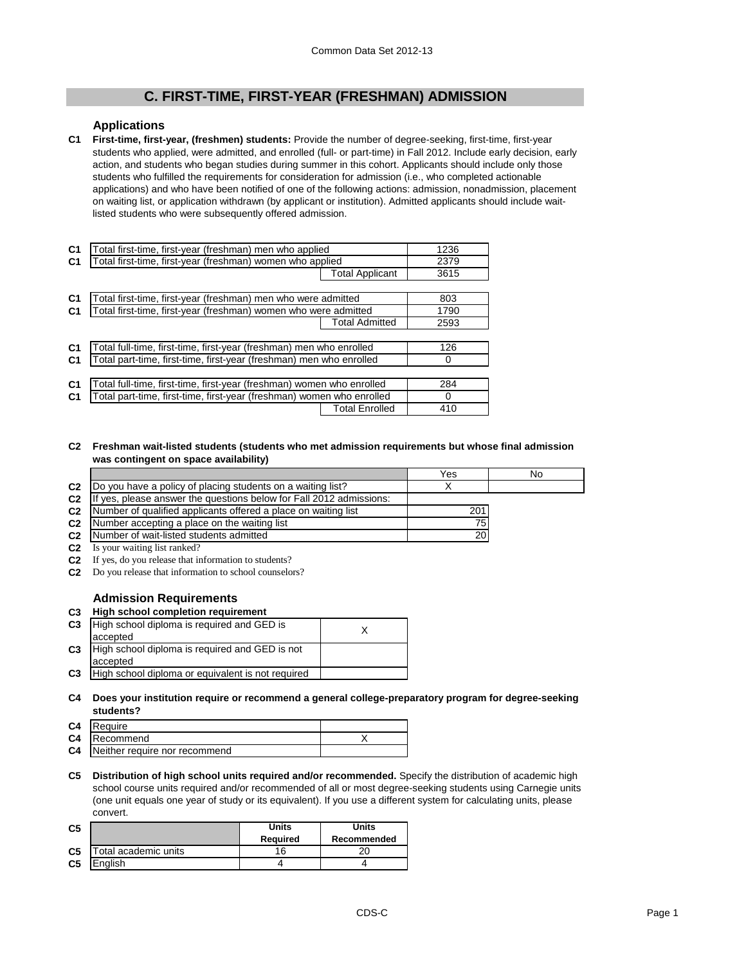## **C. FIRST-TIME, FIRST-YEAR (FRESHMAN) ADMISSION**

#### **Applications**

**C1 First-time, first-year, (freshmen) students:** Provide the number of degree-seeking, first-time, first-year students who applied, were admitted, and enrolled (full- or part-time) in Fall 2012. Include early decision, early action, and students who began studies during summer in this cohort. Applicants should include only those students who fulfilled the requirements for consideration for admission (i.e., who completed actionable applications) and who have been notified of one of the following actions: admission, nonadmission, placement on waiting list, or application withdrawn (by applicant or institution). Admitted applicants should include waitlisted students who were subsequently offered admission.

| C <sub>1</sub> | Total first-time, first-year (freshman) men who applied               | 1236                   |      |
|----------------|-----------------------------------------------------------------------|------------------------|------|
| C <sub>1</sub> | Total first-time, first-year (freshman) women who applied             |                        | 2379 |
|                |                                                                       | <b>Total Applicant</b> | 3615 |
|                |                                                                       |                        |      |
| C <sub>1</sub> | Total first-time, first-year (freshman) men who were admitted         |                        | 803  |
| C <sub>1</sub> | Total first-time, first-year (freshman) women who were admitted       |                        | 1790 |
|                |                                                                       | Total Admitted         | 2593 |
|                |                                                                       |                        |      |
| C <sub>1</sub> | Total full-time, first-time, first-year (freshman) men who enrolled   |                        | 126  |
| C <sub>1</sub> | Total part-time, first-time, first-year (freshman) men who enrolled   | 0                      |      |
|                |                                                                       |                        |      |
| C <sub>1</sub> | Total full-time, first-time, first-year (freshman) women who enrolled | 284                    |      |
| C <sub>1</sub> | Total part-time, first-time, first-year (freshman) women who enrolled | 0                      |      |
|                |                                                                       | Total Enrolled         | 410  |

#### **C2 Freshman wait-listed students (students who met admission requirements but whose final admission was contingent on space availability)**

|                |                                                                     | Yes | No |
|----------------|---------------------------------------------------------------------|-----|----|
| C <sub>2</sub> | Do you have a policy of placing students on a waiting list?         |     |    |
| C <sub>2</sub> | If yes, please answer the questions below for Fall 2012 admissions: |     |    |
| C <sub>2</sub> | Number of qualified applicants offered a place on waiting list      | 201 |    |
| C <sub>2</sub> | Number accepting a place on the waiting list                        | 75  |    |
| C <sub>2</sub> | Number of wait-listed students admitted                             | 20  |    |
|                |                                                                     |     |    |

**C2** Is your waiting list ranked?

**C2** If yes, do you release that information to students?

**C2** Do you release that information to school counselors?

## **Admission Requirements**

#### **C3 High school completion requirement**

| C <sub>3</sub> | High school diploma is required and GED is        |  |
|----------------|---------------------------------------------------|--|
|                | accepted                                          |  |
| C <sub>3</sub> | High school diploma is required and GED is not    |  |
|                | accepted                                          |  |
| C <sub>3</sub> | High school diploma or equivalent is not required |  |

**C4 Does your institution require or recommend a general college-preparatory program for degree-seeking students?**

| C4 Require                              |  |
|-----------------------------------------|--|
| <b>C4</b> Recommend                     |  |
| <b>C4</b> Neither require nor recommend |  |

**C5 Distribution of high school units required and/or recommended.** Specify the distribution of academic high school course units required and/or recommended of all or most degree-seeking students using Carnegie units (one unit equals one year of study or its equivalent). If you use a different system for calculating units, please convert.

| C <sub>5</sub> |                      | Units<br>Required | Units<br>Recommended |
|----------------|----------------------|-------------------|----------------------|
| C <sub>5</sub> | Total academic units | 16                |                      |
| C <sub>5</sub> | -nalish              |                   |                      |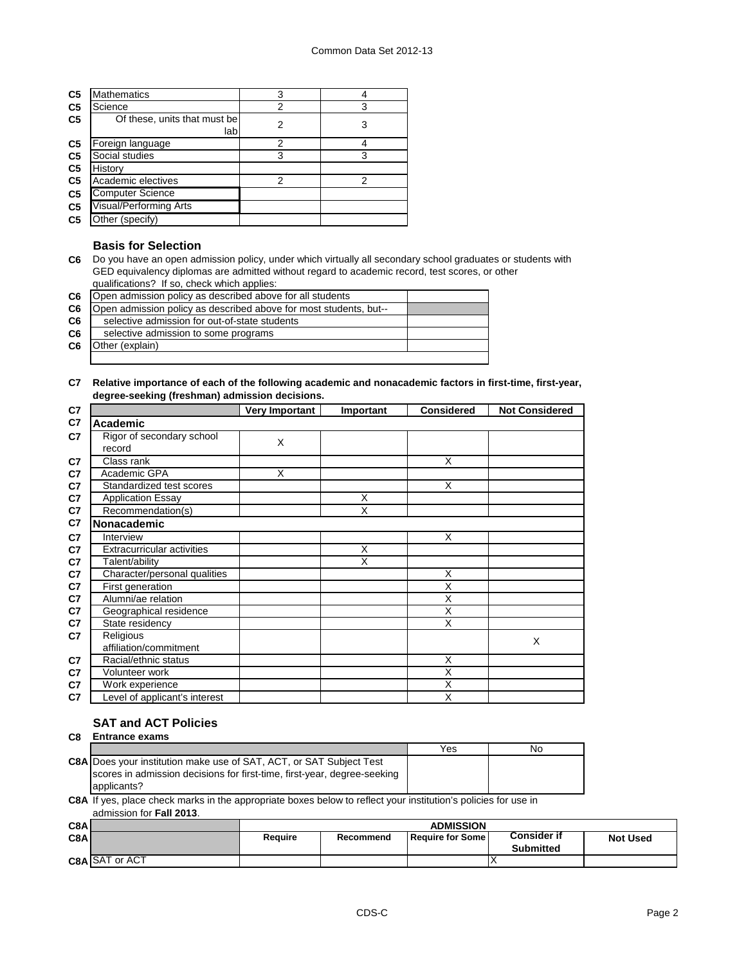۰

| C <sub>5</sub> | <b>Mathematics</b>                  | 3 |   |
|----------------|-------------------------------------|---|---|
| C <sub>5</sub> | Science                             | 2 |   |
| C <sub>5</sub> | Of these, units that must be<br>lab |   | 3 |
| C <sub>5</sub> | Foreign language                    | 2 |   |
| C <sub>5</sub> | Social studies                      | 3 |   |
| C <sub>5</sub> | History                             |   |   |
| C <sub>5</sub> | Academic electives                  | っ | っ |
| C <sub>5</sub> | <b>Computer Science</b>             |   |   |
| C <sub>5</sub> | <b>Visual/Performing Arts</b>       |   |   |
| C <sub>5</sub> | Other (specify)                     |   |   |

## **Basis for Selection**

**C6** Do you have an open admission policy, under which virtually all secondary school graduates or students with GED equivalency diplomas are admitted without regard to academic record, test scores, or other qualifications? If so, check which applies:

| qualifications: in so, shook minon applice.                                                                      |  |  |  |
|------------------------------------------------------------------------------------------------------------------|--|--|--|
| <b>C</b> Department of the property and the property of the property of the property of the property of $\alpha$ |  |  |  |

|                | <b>C6</b> [Open admission policy as described above for all students |  |
|----------------|----------------------------------------------------------------------|--|
| C <sub>6</sub> | Open admission policy as described above for most students, but--    |  |
| C <sub>6</sub> | selective admission for out-of-state students                        |  |
| C <sub>6</sub> | selective admission to some programs                                 |  |
| C <sub>6</sub> | Other (explain)                                                      |  |
|                |                                                                      |  |

#### **C7 Relative importance of each of the following academic and nonacademic factors in first-time, first-year, degree-seeking (freshman) admission decisions.**

| C7             |                               | <b>Very Important</b> | Important               | <b>Considered</b>       | <b>Not Considered</b> |
|----------------|-------------------------------|-----------------------|-------------------------|-------------------------|-----------------------|
| C7             | Academic                      |                       |                         |                         |                       |
| C <sub>7</sub> | Rigor of secondary school     | X                     |                         |                         |                       |
|                | record                        |                       |                         |                         |                       |
| C7             | Class rank                    |                       |                         | X                       |                       |
| C7             | Academic GPA                  | X                     |                         |                         |                       |
| C7             | Standardized test scores      |                       |                         | X                       |                       |
| C7             | <b>Application Essay</b>      |                       | X                       |                         |                       |
| C7             | Recommendation(s)             |                       | X                       |                         |                       |
| C7             | Nonacademic                   |                       |                         |                         |                       |
| C7             | Interview                     |                       |                         | X                       |                       |
| C7             | Extracurricular activities    |                       | X                       |                         |                       |
| C7             | Talent/ability                |                       | $\overline{\mathsf{x}}$ |                         |                       |
| C7             | Character/personal qualities  |                       |                         | X                       |                       |
| C7             | First generation              |                       |                         | Χ                       |                       |
| C7             | Alumni/ae relation            |                       |                         | X                       |                       |
| C7             | Geographical residence        |                       |                         | Χ                       |                       |
| C7             | State residency               |                       |                         | $\overline{\mathsf{x}}$ |                       |
| C7             | Religious                     |                       |                         |                         | X                     |
|                | affiliation/commitment        |                       |                         |                         |                       |
| C7             | Racial/ethnic status          |                       |                         | X                       |                       |
| C7             | Volunteer work                |                       |                         | X                       |                       |
| C7             | Work experience               |                       |                         | X                       |                       |
| C7             | Level of applicant's interest |                       |                         | X                       |                       |

## **SAT and ACT Policies**

#### **C8 Entrance exams**  Yes No **C8A** Does your institution make use of SAT, ACT, or SAT Subject Test scores in admission decisions for first-time, first-year, degree-seeking applicants?

**C8A** If yes, place check marks in the appropriate boxes below to reflect your institution's policies for use in

## admission for **Fall 2013**.

| C <sub>8</sub> A |                | <b>ADMISSION</b> |           |                         |                                 |                 |
|------------------|----------------|------------------|-----------|-------------------------|---------------------------------|-----------------|
| C8A'             |                | Require          | Recommend | <b>Require for Some</b> | Consider if<br><b>Submitted</b> | <b>Not Used</b> |
|                  | C8A SAT or ACT |                  |           |                         |                                 |                 |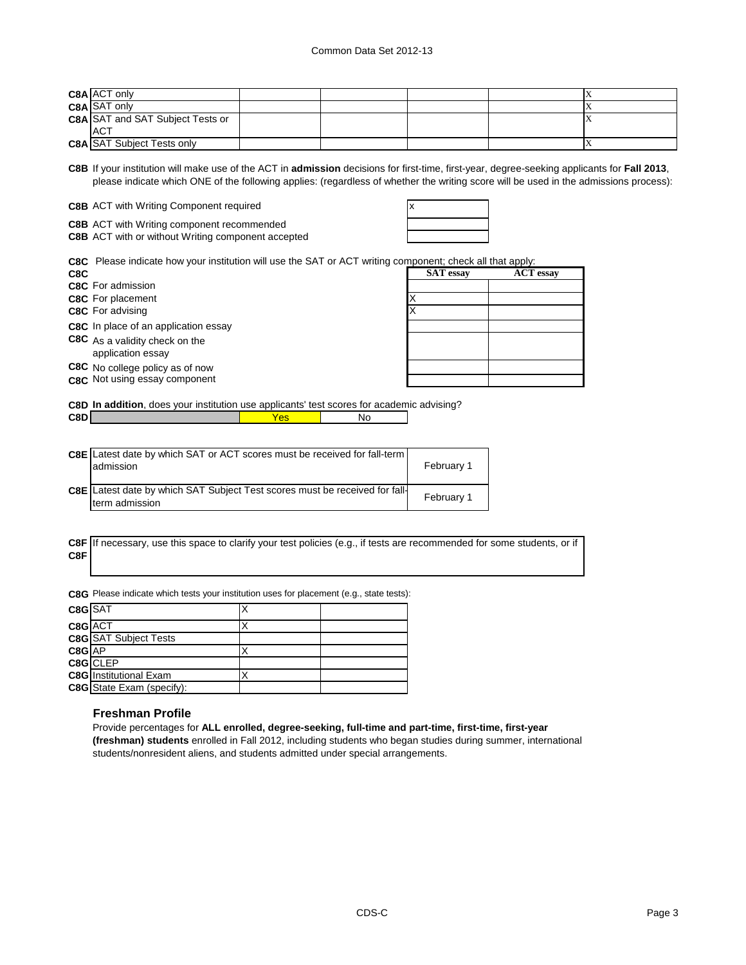| <b>C8A ACT only</b>                                                                                                                          | X                                                                                                                                     |
|----------------------------------------------------------------------------------------------------------------------------------------------|---------------------------------------------------------------------------------------------------------------------------------------|
| <b>C8A SAT only</b>                                                                                                                          | X                                                                                                                                     |
| <b>C8A</b> SAT and SAT Subject Tests or                                                                                                      | X                                                                                                                                     |
| <b>ACT</b>                                                                                                                                   |                                                                                                                                       |
| <b>C8A</b> SAT Subject Tests only                                                                                                            | X                                                                                                                                     |
| C8B If your institution will make use of the ACT in admission decisions for first-time, first-year, degree-seeking applicants for Fall 2013, | please indicate which ONE of the following applies: (regardless of whether the writing score will be used in the admissions process): |
| <b>C8B</b> ACT with Writing Component required                                                                                               |                                                                                                                                       |
| C8B ACT with Writing component recommended                                                                                                   |                                                                                                                                       |
| C8B ACT with or without Writing component accepted                                                                                           |                                                                                                                                       |
|                                                                                                                                              |                                                                                                                                       |
| <b>C8C</b> Please indicate how your institution will use the SAT or ACT writing component; check all that apply:                             |                                                                                                                                       |
| C8C                                                                                                                                          | <b>SAT</b> essay<br><b>ACT</b> essay                                                                                                  |
| <b>C8C</b> For admission                                                                                                                     |                                                                                                                                       |
| <b>C8C</b> For placement                                                                                                                     |                                                                                                                                       |
| C8C For advising                                                                                                                             |                                                                                                                                       |
| C8C In place of an application essay                                                                                                         |                                                                                                                                       |
| C8C As a validity check on the                                                                                                               |                                                                                                                                       |
| application essay                                                                                                                            |                                                                                                                                       |
| C8C No college policy as of now                                                                                                              |                                                                                                                                       |
| C8C Not using essay component                                                                                                                |                                                                                                                                       |
|                                                                                                                                              |                                                                                                                                       |
| C8D In addition, does your institution use applicants' test scores for academic advising?<br>C8D<br>Yes<br>No                                |                                                                                                                                       |
|                                                                                                                                              |                                                                                                                                       |
|                                                                                                                                              |                                                                                                                                       |
| C8E Latest date by which SAT or ACT scores must be received for fall-term                                                                    |                                                                                                                                       |
| admission                                                                                                                                    | February 1                                                                                                                            |
|                                                                                                                                              |                                                                                                                                       |
| C8E Latest date by which SAT Subject Test scores must be received for fall-                                                                  | February 1                                                                                                                            |
| term admission                                                                                                                               |                                                                                                                                       |
|                                                                                                                                              |                                                                                                                                       |
|                                                                                                                                              |                                                                                                                                       |
| C8F If necessary, use this space to clarify your test policies (e.g., if tests are recommended for some students, or if                      |                                                                                                                                       |
| C8F                                                                                                                                          |                                                                                                                                       |
|                                                                                                                                              |                                                                                                                                       |
|                                                                                                                                              |                                                                                                                                       |
| C8G Please indicate which tests your institution uses for placement (e.g., state tests):                                                     |                                                                                                                                       |

| C8G SAT |                                  |  |
|---------|----------------------------------|--|
| C8G ACT |                                  |  |
|         | <b>C8G</b> SAT Subject Tests     |  |
| C8G AP  |                                  |  |
|         | C8G CLEP                         |  |
|         | <b>C8G</b> Institutional Exam    |  |
|         | <b>C8G</b> State Exam (specify): |  |
|         |                                  |  |

#### **Freshman Profile**

Provide percentages for **ALL enrolled, degree-seeking, full-time and part-time, first-time, first-year (freshman) students** enrolled in Fall 2012, including students who began studies during summer, international students/nonresident aliens, and students admitted under special arrangements.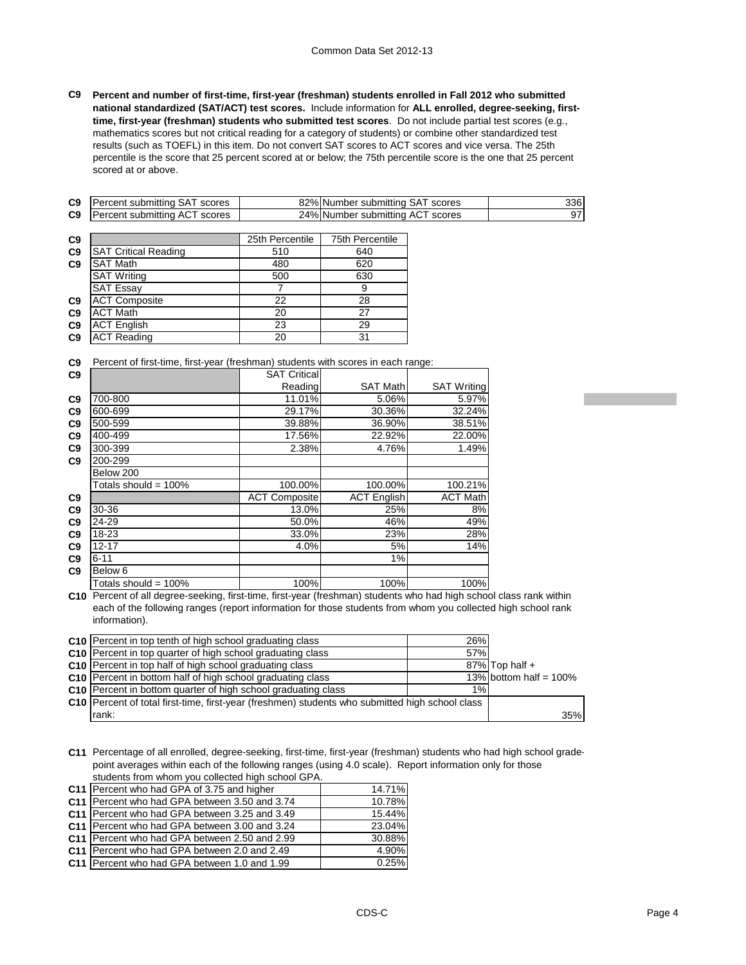**C9 Percent and number of first-time, first-year (freshman) students enrolled in Fall 2012 who submitted national standardized (SAT/ACT) test scores.** Include information for **ALL enrolled, degree-seeking, firsttime, first-year (freshman) students who submitted test scores**. Do not include partial test scores (e.g., mathematics scores but not critical reading for a category of students) or combine other standardized test results (such as TOEFL) in this item. Do not convert SAT scores to ACT scores and vice versa. The 25th percentile is the score that 25 percent scored at or below; the 75th percentile score is the one that 25 percent scored at or above.

| C <sub>9</sub> | <b>Percent submitting SAT scores</b>        | 82% Number submitting SAT scores    | 336 |
|----------------|---------------------------------------------|-------------------------------------|-----|
| C <sub>9</sub> | <b>I</b> Percent submitting ACT<br>⊺ scores | 24% Number submitting ACT<br>scores |     |

| C <sub>9</sub> |                             | 25th Percentile | 75th Percentile |
|----------------|-----------------------------|-----------------|-----------------|
| C <sub>9</sub> | <b>SAT Critical Reading</b> | 510             | 640             |
| C <sub>9</sub> | <b>SAT Math</b>             | 480             | 620             |
|                | <b>SAT Writing</b>          | 500             | 630             |
|                | <b>SAT Essay</b>            |                 | 9               |
| C <sub>9</sub> | <b>ACT Composite</b>        | 22              | 28              |
| C <sub>9</sub> | <b>ACT Math</b>             | 20              | 27              |
| C <sub>9</sub> | <b>ACT English</b>          | 23              | 29              |
| C <sub>9</sub> | <b>ACT Reading</b>          | 20              | 31              |

**C9** Percent of first-time, first-year (freshman) students with scores in each range:

| C9 |                         | <b>SAT Critical</b>  |                    |                    |
|----|-------------------------|----------------------|--------------------|--------------------|
|    |                         | Reading              | <b>SAT Math</b>    | <b>SAT Writing</b> |
| C9 | 700-800                 | 11.01%               | 5.06%              | 5.97%              |
| C9 | 600-699                 | 29.17%               | 30.36%             | 32.24%             |
| C9 | 500-599                 | 39.88%               | 36.90%             | 38.51%             |
| C9 | 400-499                 | 17.56%               | 22.92%             | 22.00%             |
| C9 | 300-399                 | 2.38%                | 4.76%              | 1.49%              |
| C9 | 200-299                 |                      |                    |                    |
|    | Below 200               |                      |                    |                    |
|    | Totals should = $100\%$ | 100.00%              | 100.00%            | 100.21%            |
| C9 |                         | <b>ACT Composite</b> | <b>ACT English</b> | <b>ACT Math</b>    |
| C9 | 30-36                   | 13.0%                | 25%                | 8%                 |
| C9 | 24-29                   | 50.0%                | 46%                | 49%                |
| C9 | 18-23                   | 33.0%                | 23%                | 28%                |
| C9 | $12 - 17$               | 4.0%                 | 5%                 | 14%                |
| C9 | $6 - 11$                |                      | 1%                 |                    |
| C9 | Below 6                 |                      |                    |                    |
|    | Totals should = $100\%$ | 100%                 | 100%               | 100%               |

**C10** Percent of all degree-seeking, first-time, first-year (freshman) students who had high school class rank within each of the following ranges (report information for those students from whom you collected high school rank information).

| C <sub>10</sub> IPercent in top tenth of high school graduating class                             | 26% |                           |
|---------------------------------------------------------------------------------------------------|-----|---------------------------|
| <b>C10</b> Percent in top quarter of high school graduating class                                 | 57% |                           |
| <b>C10</b> Percent in top half of high school graduating class                                    |     | 87% Top half +            |
| <b>C10</b> Percent in bottom half of high school graduating class                                 |     | 13% bottom half = $100\%$ |
| <b>C10</b> Percent in bottom quarter of high school graduating class                              | 1%  |                           |
| C10   Percent of total first-time, first-year (freshmen) students who submitted high school class |     |                           |
| rank:                                                                                             |     | 35%                       |

**C11** Percentage of all enrolled, degree-seeking, first-time, first-year (freshman) students who had high school gradepoint averages within each of the following ranges (using 4.0 scale). Report information only for those students from whom you collected high school GPA.

| C11 Percent who had GPA of 3.75 and higher    | 14.71% |
|-----------------------------------------------|--------|
| C11 Percent who had GPA between 3.50 and 3.74 | 10.78% |
| C11 Percent who had GPA between 3.25 and 3.49 | 15.44% |
| C11 Percent who had GPA between 3.00 and 3.24 | 23.04% |
| C11 Percent who had GPA between 2.50 and 2.99 | 30.88% |
| C11 Percent who had GPA between 2.0 and 2.49  | 4.90%  |
| C11 Percent who had GPA between 1.0 and 1.99  | 0.25%  |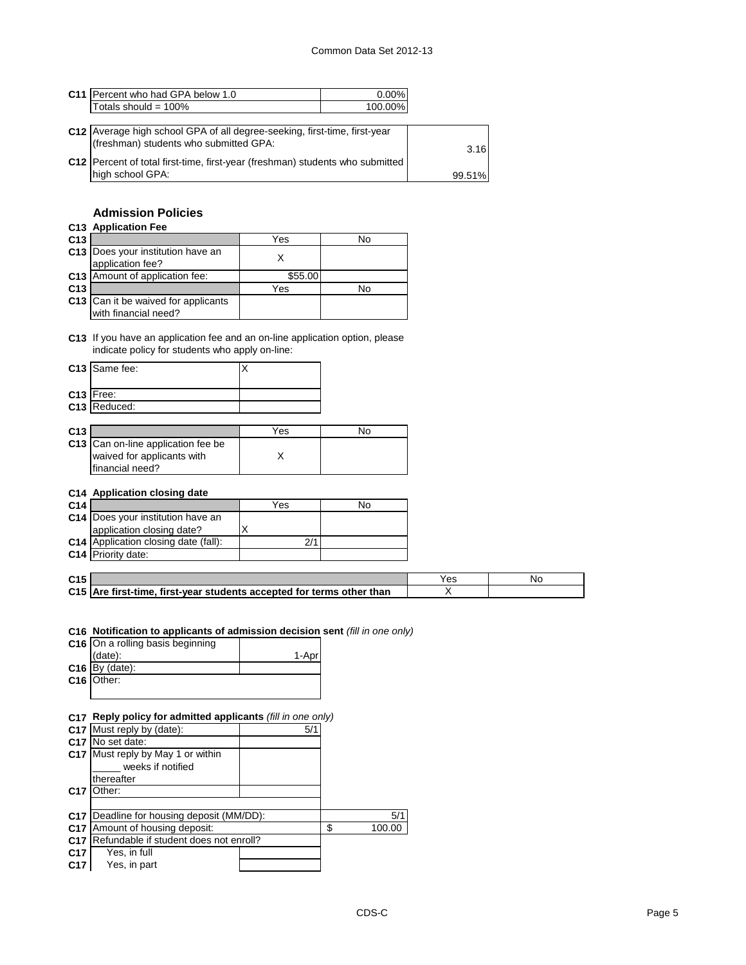| C11 Percent who had GPA below 1.0                                                                                   | $0.00\%$ |        |
|---------------------------------------------------------------------------------------------------------------------|----------|--------|
| Totals should = 100%                                                                                                | 100.00%  |        |
|                                                                                                                     |          |        |
| C12 Average high school GPA of all degree-seeking, first-time, first-year<br>(freshman) students who submitted GPA: |          |        |
|                                                                                                                     |          | 3.16   |
| C12 Percent of total first-time, first-year (freshman) students who submitted                                       |          |        |
| high school GPA:                                                                                                    |          | 99.51% |
|                                                                                                                     |          |        |

## **Admission Policies**

## **C13 Application Fee**

| C13             |                                                       | Yes     | No |
|-----------------|-------------------------------------------------------|---------|----|
|                 | C13 Does your institution have an<br>application fee? |         |    |
|                 | C13 Amount of application fee:                        | \$55.00 |    |
| C <sub>13</sub> |                                                       | Yes     | No |
|                 | C13 Can it be waived for applicants                   |         |    |
|                 | with financial need?                                  |         |    |

**C13** If you have an application fee and an on-line application option, please indicate policy for students who apply on-line:

| C13 Same fee: |  |
|---------------|--|
| $C13$ Free:   |  |
| C13 Reduced:  |  |
|               |  |

| C <sub>13</sub> |                                    | Yes | N٥ |
|-----------------|------------------------------------|-----|----|
|                 | C13 Can on-line application fee be |     |    |
|                 | waived for applicants with         |     |    |
|                 | financial need?                    |     |    |

#### **C14 Application closing date**

| C <sub>14</sub> |                                      | Yes | No |
|-----------------|--------------------------------------|-----|----|
|                 | C14 Does your institution have an    |     |    |
|                 | application closing date?            |     |    |
|                 | C14 Application closing date (fall): | 2/1 |    |
|                 | C <sub>14</sub> Priority date:       |     |    |

| C <sub>15</sub> |                                                                       | Yes | Nc |
|-----------------|-----------------------------------------------------------------------|-----|----|
|                 | C15 Are first-time, first-year students accepted for terms other than |     |    |

**C16 Notification to applicants of admission decision sent** *(fill in one only)*

| C16 On a rolling basis beginning |       |
|----------------------------------|-------|
| (data):                          | 1-Apr |
| $C16$ By (date):                 |       |
| C <sub>16</sub> Other:           |       |
|                                  |       |

#### **C17 Reply policy for admitted applicants** *(fill in one only)*

|                 | C17 Must reply by (date):              | 5/1 |              |
|-----------------|----------------------------------------|-----|--------------|
| C <sub>17</sub> | No set date:                           |     |              |
|                 | C17 Must reply by May 1 or within      |     |              |
|                 | weeks if notified                      |     |              |
|                 | thereafter                             |     |              |
| C <sub>17</sub> | Other:                                 |     |              |
|                 |                                        |     |              |
| C <sub>17</sub> | Deadline for housing deposit (MM/DD):  |     | 5/1          |
| C <sub>17</sub> | Amount of housing deposit:             |     | \$<br>100.00 |
| C <sub>17</sub> | Refundable if student does not enroll? |     |              |
| C <sub>17</sub> | Yes, in full                           |     |              |
| C <sub>17</sub> | Yes, in part                           |     |              |
|                 |                                        |     |              |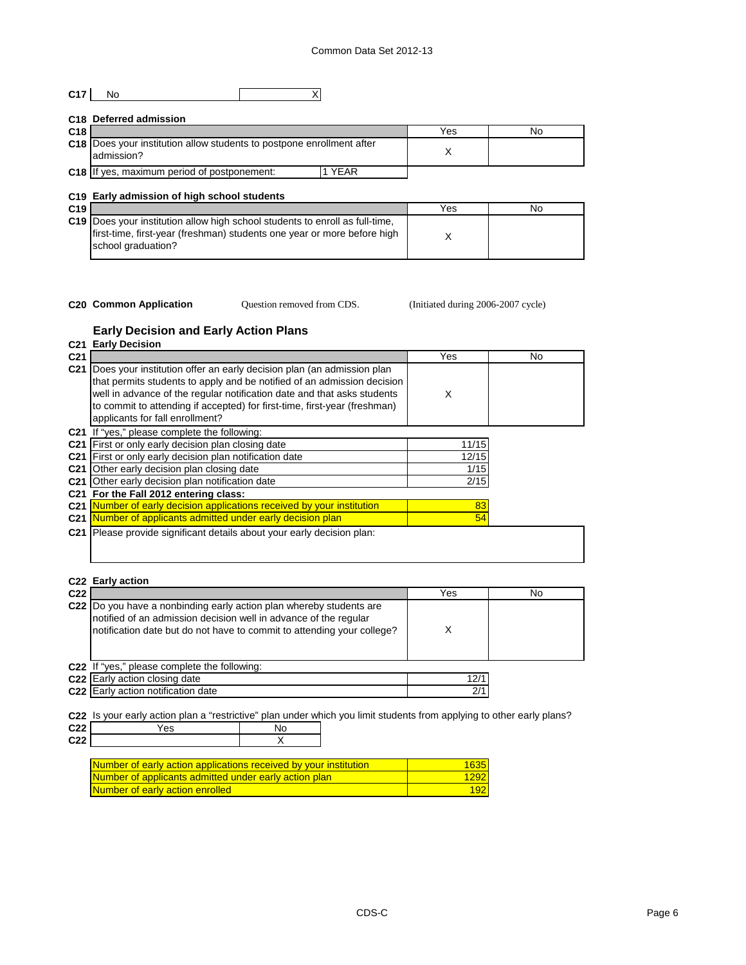#### **C17** No X

|                 | C <sub>18</sub> Deferred admission                                                    |             |     |    |
|-----------------|---------------------------------------------------------------------------------------|-------------|-----|----|
| C <sub>18</sub> |                                                                                       |             | Yes | No |
|                 | C18   Does your institution allow students to postpone enrollment after<br>admission? |             |     |    |
|                 | C18 If yes, maximum period of postponement:                                           | <b>YFAR</b> |     |    |
|                 |                                                                                       |             |     |    |

#### **C19 Early admission of high school students**

| C19 |                                                                                     | Yes | No |
|-----|-------------------------------------------------------------------------------------|-----|----|
|     | <b>C19</b> Does your institution allow high school students to enroll as full-time, |     |    |
|     | lfirst-time, first-year (freshman) students one year or more before high            |     |    |
|     | school graduation?                                                                  |     |    |
|     |                                                                                     |     |    |

Question removed from CDS.

**C20 Common Application** Question removed from CDS. (Initiated during 2006-2007 cycle)

## **Early Decision and Early Action Plans**

| C <sub>21</sub>                                                                                                                                                                                                                                                                                                                                                | Yes   | No |
|----------------------------------------------------------------------------------------------------------------------------------------------------------------------------------------------------------------------------------------------------------------------------------------------------------------------------------------------------------------|-------|----|
| Does your institution offer an early decision plan (an admission plan<br>C <sub>21</sub><br>that permits students to apply and be notified of an admission decision<br>well in advance of the regular notification date and that asks students<br>to commit to attending if accepted) for first-time, first-year (freshman)<br>applicants for fall enrollment? | X     |    |
| If "yes," please complete the following:<br>C <sub>21</sub>                                                                                                                                                                                                                                                                                                    |       |    |
| C21 First or only early decision plan closing date                                                                                                                                                                                                                                                                                                             | 11/15 |    |
| C21 First or only early decision plan notification date                                                                                                                                                                                                                                                                                                        | 12/15 |    |
| <b>C21</b> Other early decision plan closing date                                                                                                                                                                                                                                                                                                              | 1/15  |    |
| <b>C21</b> Other early decision plan notification date                                                                                                                                                                                                                                                                                                         | 2/15  |    |
|                                                                                                                                                                                                                                                                                                                                                                |       |    |
| C21 For the Fall 2012 entering class:                                                                                                                                                                                                                                                                                                                          |       |    |
| C21 Number of early decision applications received by your institution                                                                                                                                                                                                                                                                                         | 83    |    |

#### **C22 Early action C22** Yes No **C22** Do you have a nonbinding early action plan whereby students are X **C22** If "yes," please complete the following: **C22** Early action closing date **and the control of the control of the control of the control of the control of the control of the control of the control of the control of the control of the control of the control of the c C22** Early action notification date **C22** 2/1 notified of an admission decision well in advance of the regular notification date but do not have to commit to attending your college?

**C22** Is your early action plan a "restrictive" plan under which you limit students from applying to other early plans?

**C22** Yes No **C22** X

| Number of early action applications received by your institution | 1635 |
|------------------------------------------------------------------|------|
| Number of applicants admitted under early action plan            | 1292 |
| Number of early action enrolled                                  | 192  |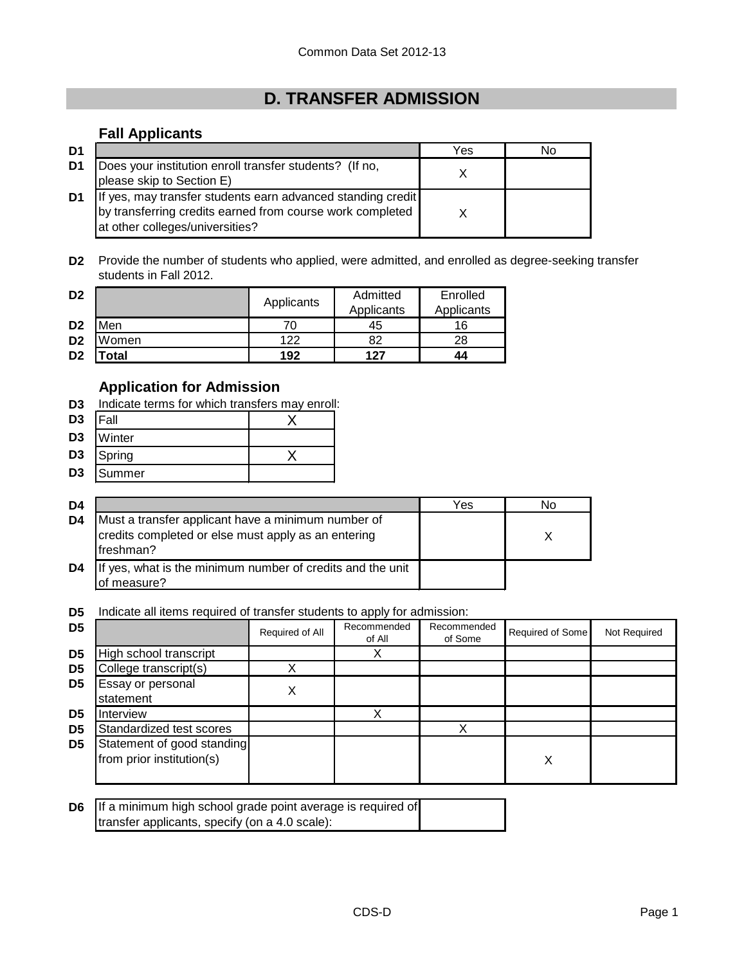# **D. TRANSFER ADMISSION**

## **Fall Applicants**

| D <sub>1</sub> |                                                                                                                                                             | Yes | Nο |
|----------------|-------------------------------------------------------------------------------------------------------------------------------------------------------------|-----|----|
| D1             | Does your institution enroll transfer students? (If no,<br>please skip to Section E)                                                                        |     |    |
| D1             | If yes, may transfer students earn advanced standing credit<br>by transferring credits earned from course work completed<br>at other colleges/universities? |     |    |

**D2** Provide the number of students who applied, were admitted, and enrolled as degree-seeking transfer students in Fall 2012.

| D <sub>2</sub> |             | Applicants | Admitted   | Enrolled   |
|----------------|-------------|------------|------------|------------|
|                |             |            | Applicants | Applicants |
| D <sub>2</sub> | Men         | 70         | 45         | 16         |
| D <sub>2</sub> | Women       | 122        | 82         | 28         |
| D <sub>2</sub> | <b>otal</b> | 192        | 127        | 44         |

## **Application for Admission**

**D3** Indicate terms for which transfers may enroll:

|    | D <sub>3</sub>   Fall |  |  |
|----|-----------------------|--|--|
|    | D3 Winter             |  |  |
| רח | $l$ Corina            |  |  |

- **D3** Spring **D3** Summer
- 

| D4             |                                                                                                                         | Yes | No |
|----------------|-------------------------------------------------------------------------------------------------------------------------|-----|----|
| D <sub>4</sub> | Must a transfer applicant have a minimum number of<br>credits completed or else must apply as an entering<br>lfreshman? |     |    |
| D4             | If yes, what is the minimum number of credits and the unit<br>of measure?                                               |     |    |

**D5** Indicate all items required of transfer students to apply for admission:

| D <sub>5</sub> |                                                         | Required of All | Recommended<br>of All | Recommended<br>of Some | Required of Some | Not Required |
|----------------|---------------------------------------------------------|-----------------|-----------------------|------------------------|------------------|--------------|
| D <sub>5</sub> | High school transcript                                  |                 |                       |                        |                  |              |
| D <sub>5</sub> | College transcript(s)                                   |                 |                       |                        |                  |              |
| D <sub>5</sub> | Essay or personal<br>statement                          |                 |                       |                        |                  |              |
| D <sub>5</sub> | Interview                                               |                 |                       |                        |                  |              |
| D <sub>5</sub> | Standardized test scores                                |                 |                       | Х                      |                  |              |
| D <sub>5</sub> | Statement of good standing<br>from prior institution(s) |                 |                       |                        | Χ                |              |

| <b>D6</b> If a minimum high school grade point average is required of |  |
|-----------------------------------------------------------------------|--|
| transfer applicants, specify (on a 4.0 scale):                        |  |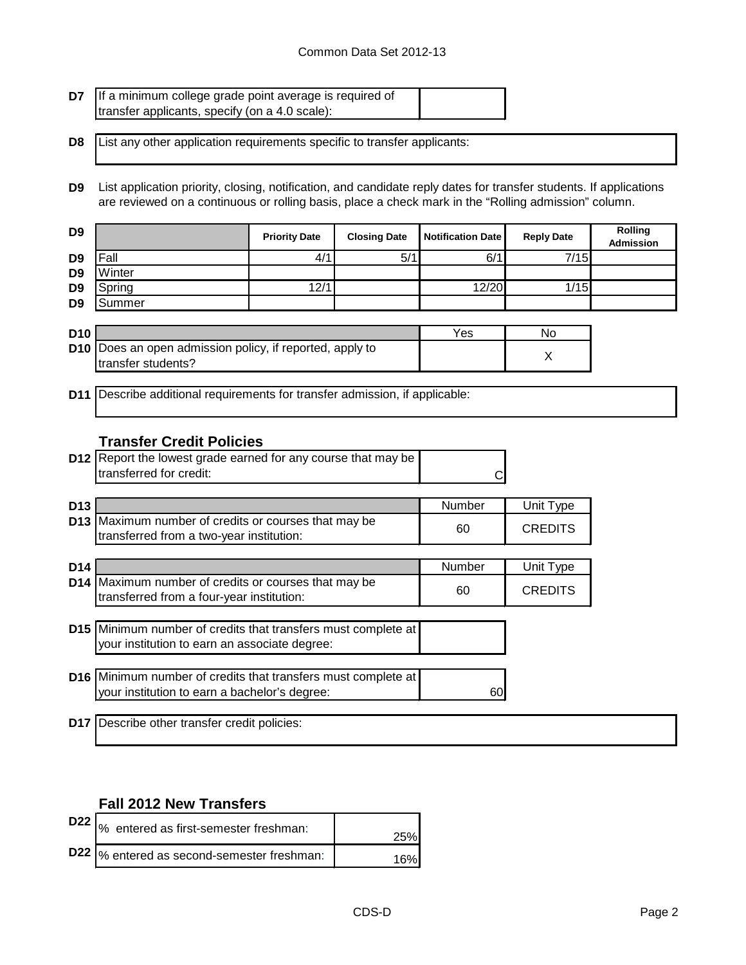| <b>D7</b> If a minimum college grade point average is required of |  |
|-------------------------------------------------------------------|--|
| transfer applicants, specify (on a 4.0 scale):                    |  |

**D8** List any other application requirements specific to transfer applicants:

**D9** List application priority, closing, notification, and candidate reply dates for transfer students. If applications are reviewed on a continuous or rolling basis, place a check mark in the "Rolling admission" column.

| D <sub>9</sub> |        | <b>Priority Date</b> | <b>Closing Date</b> | Notification Date | <b>Reply Date</b> | <b>Rolling</b><br><b>Admission</b> |
|----------------|--------|----------------------|---------------------|-------------------|-------------------|------------------------------------|
| D <sub>9</sub> | Fall   | 4/1                  | 5/1                 | 6/1               | 7/15              |                                    |
| D <sub>9</sub> | Winter |                      |                     |                   |                   |                                    |
| D <sub>9</sub> | Spring | 12/1                 |                     | 12/20             | 1/15              |                                    |
| D <sub>9</sub> | Summer |                      |                     |                   |                   |                                    |

C

| D <sub>10</sub> |                                                                                        | Yes | Nc |
|-----------------|----------------------------------------------------------------------------------------|-----|----|
|                 | <b>D10</b> Does an open admission policy, if reported, apply to<br>Itransfer students? |     |    |
|                 |                                                                                        |     |    |

**D11** Describe additional requirements for transfer admission, if applicable:

## **Transfer Credit Policies**

| <b>D12</b> Report the lowest grade earned for any course that may be |  |
|----------------------------------------------------------------------|--|
| transferred for credit:                                              |  |

| D <sub>13</sub> |                                                      | Number | Unit Type      |
|-----------------|------------------------------------------------------|--------|----------------|
|                 | D13 Maximum number of credits or courses that may be | 60     | <b>CREDITS</b> |
|                 | transferred from a two-year institution:             |        |                |

| D14 |                                                                                                                  | Number | Unit Type      |
|-----|------------------------------------------------------------------------------------------------------------------|--------|----------------|
|     | D14   Maximum number of credits or courses that may be<br>transferred from a four-year institution:              | 60     | <b>CREDITS</b> |
|     |                                                                                                                  |        |                |
|     | D15   Minimum number of credits that transfers must complete at<br>your institution to earn an associate degree: |        |                |
|     |                                                                                                                  |        |                |
|     | D16 Minimum number of credits that transfers must complete at                                                    |        |                |
|     | your institution to earn a bachelor's degree:                                                                    | 60     |                |
|     |                                                                                                                  |        |                |

**D17** Describe other transfer credit policies:

## **Fall 2012 New Transfers**

| D <sub>22</sub> | % entered as first-semester freshman:              | 25%1 |
|-----------------|----------------------------------------------------|------|
|                 | <b>D22</b>  % entered as second-semester freshman: | 16%  |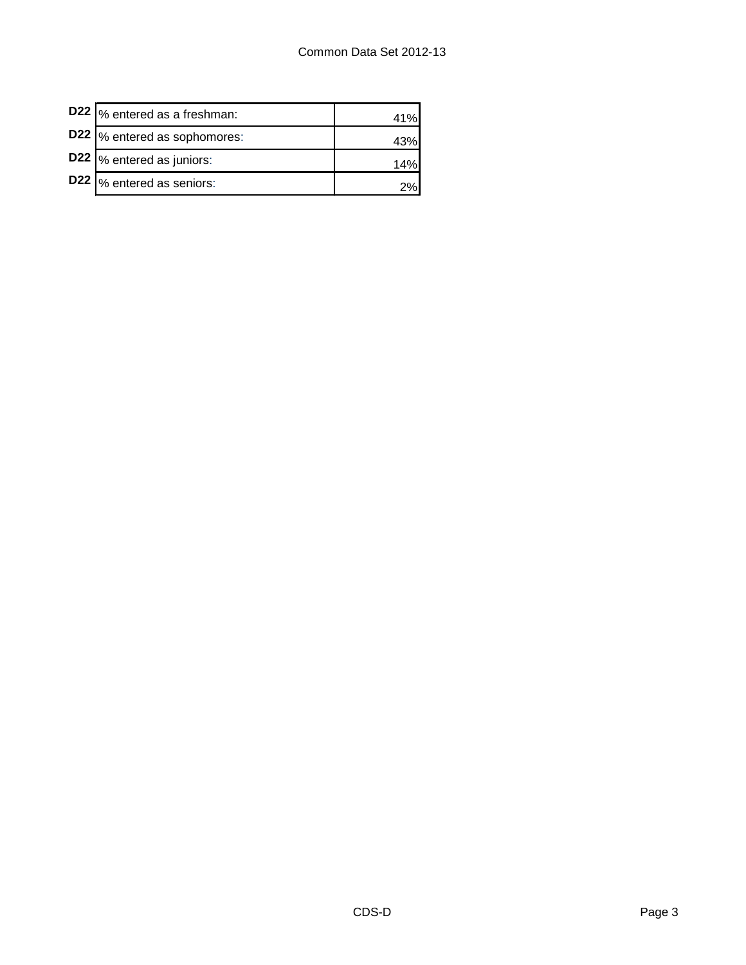| D22 $\vert\%$ entered as a freshman: | 41% |
|--------------------------------------|-----|
| D22  % entered as sophomores:        |     |
| D22  % entered as juniors:           | 14% |
| D22  % entered as seniors:           |     |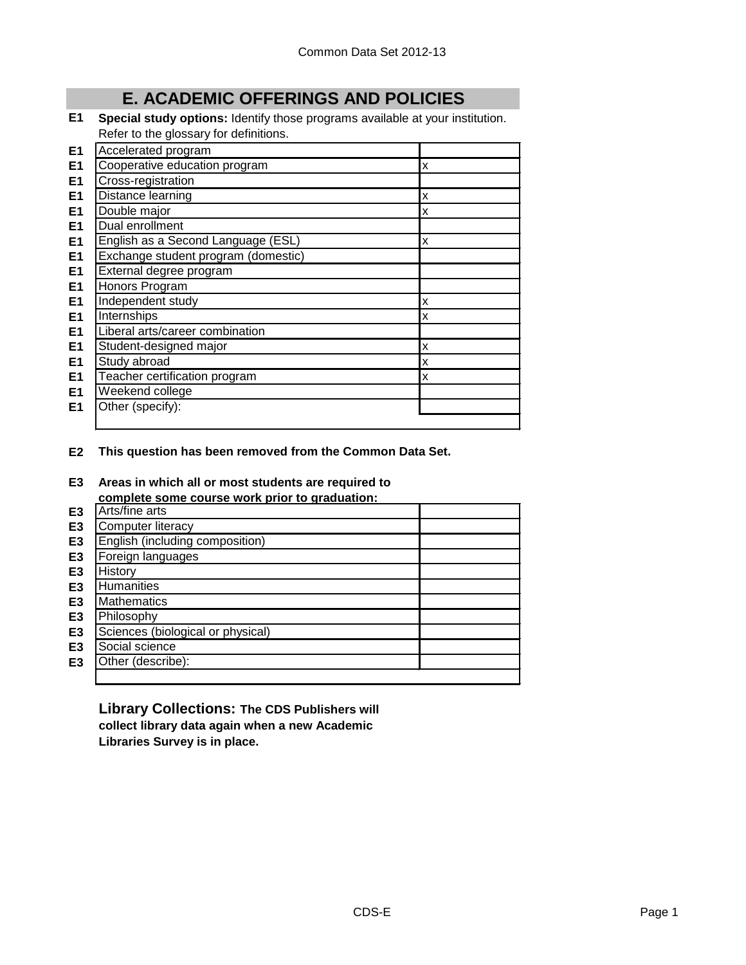# **E. ACADEMIC OFFERINGS AND POLICIES**

**E1 Special study options:** Identify those programs available at your institution. Refer to the glossary for definitions.

| E1             | Accelerated program                 |    |
|----------------|-------------------------------------|----|
| E <sub>1</sub> | Cooperative education program       | ΙX |
| E <sub>1</sub> | Cross-registration                  |    |
| E <sub>1</sub> | Distance learning                   | Ιx |
| E <sub>1</sub> | Double major                        | ΙX |
| E <sub>1</sub> | Dual enrollment                     |    |
| E <sub>1</sub> | English as a Second Language (ESL)  | ΙX |
| E <sub>1</sub> | Exchange student program (domestic) |    |
| E <sub>1</sub> | External degree program             |    |
| E <sub>1</sub> | Honors Program                      |    |
| E <sub>1</sub> | Independent study                   | X  |
| E <sub>1</sub> | <b>Internships</b>                  | X  |
| E <sub>1</sub> | Liberal arts/career combination     |    |
| E <sub>1</sub> | Student-designed major              | Ιx |
| E <sub>1</sub> | Study abroad                        | X  |
| E <sub>1</sub> | Teacher certification program       | X  |
| E <sub>1</sub> | Weekend college                     |    |
| E <sub>1</sub> | Other (specify):                    |    |
|                |                                     |    |

**E2 This question has been removed from the Common Data Set.**

#### **E3 Areas in which all or most students are required to complete some course work prior to graduation:**

|                | complete some course work prior to graduation: |  |  |
|----------------|------------------------------------------------|--|--|
| E <sub>3</sub> | Arts/fine arts                                 |  |  |
| E <sub>3</sub> | Computer literacy                              |  |  |
| E <sub>3</sub> | English (including composition)                |  |  |
| E <sub>3</sub> | Foreign languages                              |  |  |
| E <sub>3</sub> | History                                        |  |  |
| E <sub>3</sub> | <b>Humanities</b>                              |  |  |
| E <sub>3</sub> | <b>Mathematics</b>                             |  |  |
| E <sub>3</sub> | Philosophy                                     |  |  |
| E <sub>3</sub> | Sciences (biological or physical)              |  |  |
| E <sub>3</sub> | Social science                                 |  |  |
| E <sub>3</sub> | Other (describe):                              |  |  |
|                |                                                |  |  |

**Library Collections: The CDS Publishers will collect library data again when a new Academic Libraries Survey is in place.**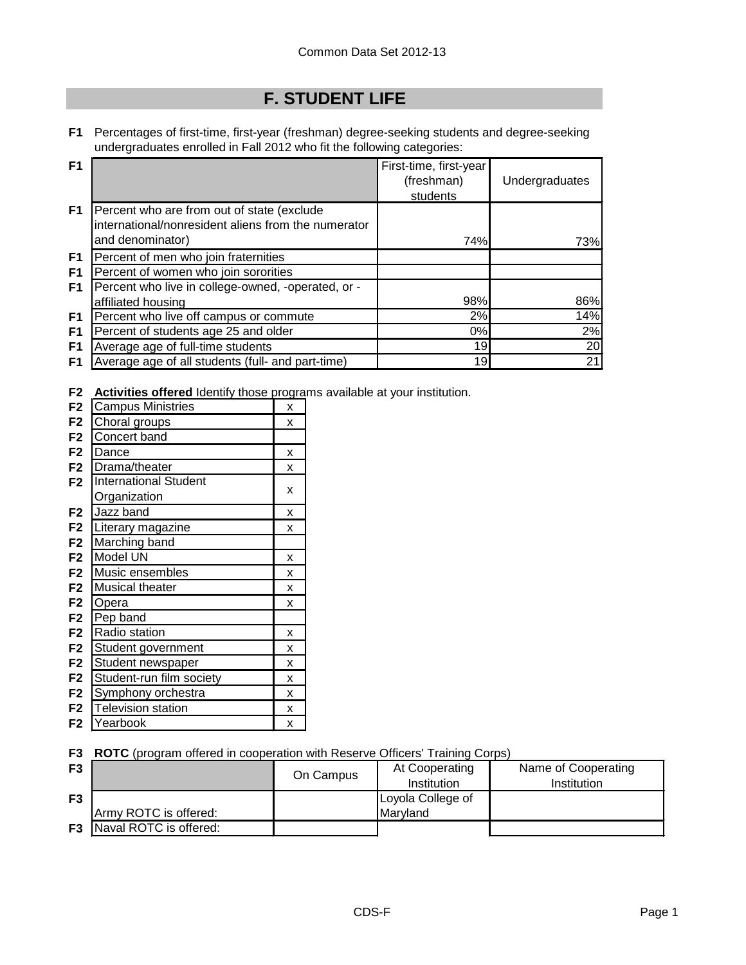# **F. STUDENT LIFE**

**F1** Percentages of first-time, first-year (freshman) degree-seeking students and degree-seeking undergraduates enrolled in Fall 2012 who fit the following categories:

| F <sub>1</sub> |                                                     | First-time, first-year |                |
|----------------|-----------------------------------------------------|------------------------|----------------|
|                |                                                     | (freshman)             | Undergraduates |
|                |                                                     | students               |                |
| F1             | Percent who are from out of state (exclude          |                        |                |
|                | international/nonresident aliens from the numerator |                        |                |
|                | and denominator)                                    | 74%                    | 73%            |
| F <sub>1</sub> | Percent of men who join fraternities                |                        |                |
| F1             | Percent of women who join sororities                |                        |                |
| F1             | Percent who live in college-owned, -operated, or -  |                        |                |
|                | affiliated housing                                  | 98%                    | 86%            |
| F <sub>1</sub> | Percent who live off campus or commute              | 2%                     | 14%            |
| F <sub>1</sub> | Percent of students age 25 and older                | 0%                     | 2%             |
| F1             | Average age of full-time students                   | 19                     | 20             |
| F <sub>1</sub> | Average age of all students (full- and part-time)   | 19                     | 21             |

**F2 Activities offered** Identify those programs available at your institution.

| F <sub>2</sub> | <b>Campus Ministries</b>     | X |
|----------------|------------------------------|---|
| F <sub>2</sub> | Choral groups                | x |
| F <sub>2</sub> | Concert band                 |   |
| F <sub>2</sub> | Dance                        | x |
| F <sub>2</sub> | Drama/theater                | x |
| F <sub>2</sub> | <b>International Student</b> | x |
|                | Organization                 |   |
| F <sub>2</sub> | Jazz band                    | x |
| F <sub>2</sub> | Literary magazine            | x |
| F <sub>2</sub> | Marching band                |   |
| F <sub>2</sub> | Model UN                     | x |
| F <sub>2</sub> | Music ensembles              | x |
| F <sub>2</sub> | <b>Musical theater</b>       | x |
| F <sub>2</sub> | Opera                        | x |
| F <sub>2</sub> | Pep band                     |   |
| F <sub>2</sub> | Radio station                | x |
| F <sub>2</sub> | Student government           | x |
| F <sub>2</sub> | Student newspaper            | X |
| F <sub>2</sub> | Student-run film society     | x |
| F <sub>2</sub> | Symphony orchestra           | x |
| F <sub>2</sub> | <b>Television station</b>    | X |
| F <sub>2</sub> | Yearbook                     | X |

## **F3 ROTC** (program offered in cooperation with Reserve Officers' Training Corps)

| F <sub>3</sub> |                        | On Campus | At Cooperating<br><b>Institution</b> | Name of Cooperating<br>Institution |
|----------------|------------------------|-----------|--------------------------------------|------------------------------------|
| F <sub>3</sub> | Army ROTC is offered:  |           | Loyola College of<br>Marvland        |                                    |
| F <sub>3</sub> | Naval ROTC is offered: |           |                                      |                                    |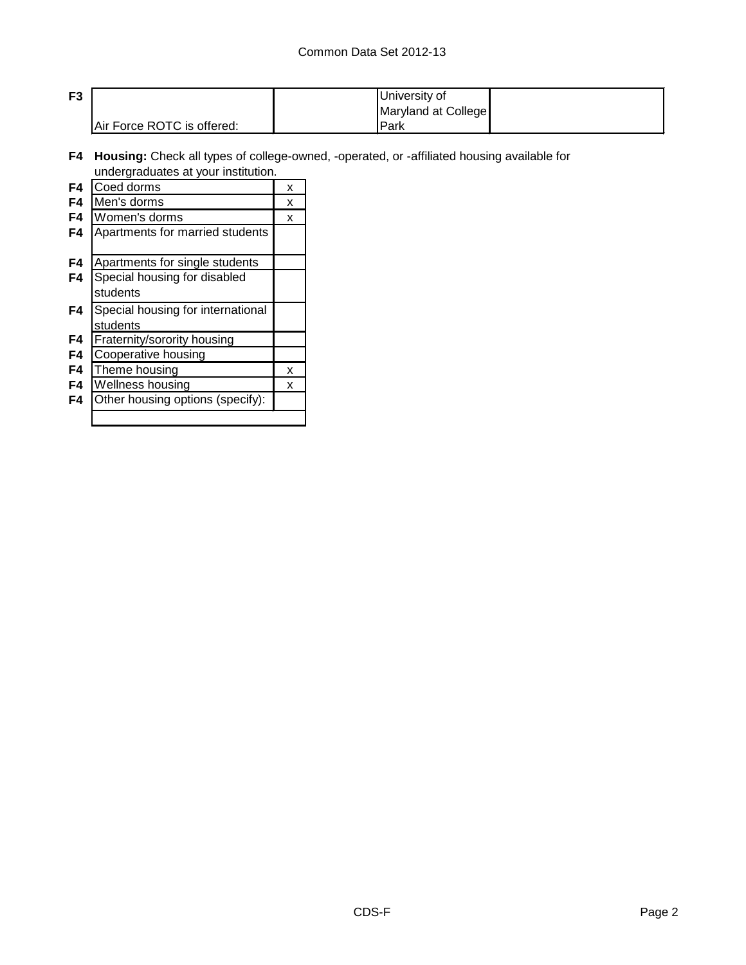| F <sub>3</sub> |                            | University of       |  |
|----------------|----------------------------|---------------------|--|
|                |                            | Maryland at College |  |
|                | Air Force ROTC is offered: | Park                |  |

**F4 Housing:** Check all types of college-owned, -operated, or -affiliated housing available for undergraduates at your institution.

|    | $1001$ gradaatoo at your motitativ            |   |
|----|-----------------------------------------------|---|
| F4 | Coed dorms                                    | x |
| F4 | Men's dorms                                   | x |
| F4 | Women's dorms                                 | x |
| F4 | Apartments for married students               |   |
| F4 | Apartments for single students                |   |
| F4 | Special housing for disabled<br>students      |   |
| F4 | Special housing for international<br>students |   |
| F4 | Fraternity/sorority housing                   |   |
| F4 | Cooperative housing                           |   |
| F4 | Theme housing                                 | x |
| F4 | Wellness housing                              | x |
| F4 | Other housing options (specify):              |   |
|    |                                               |   |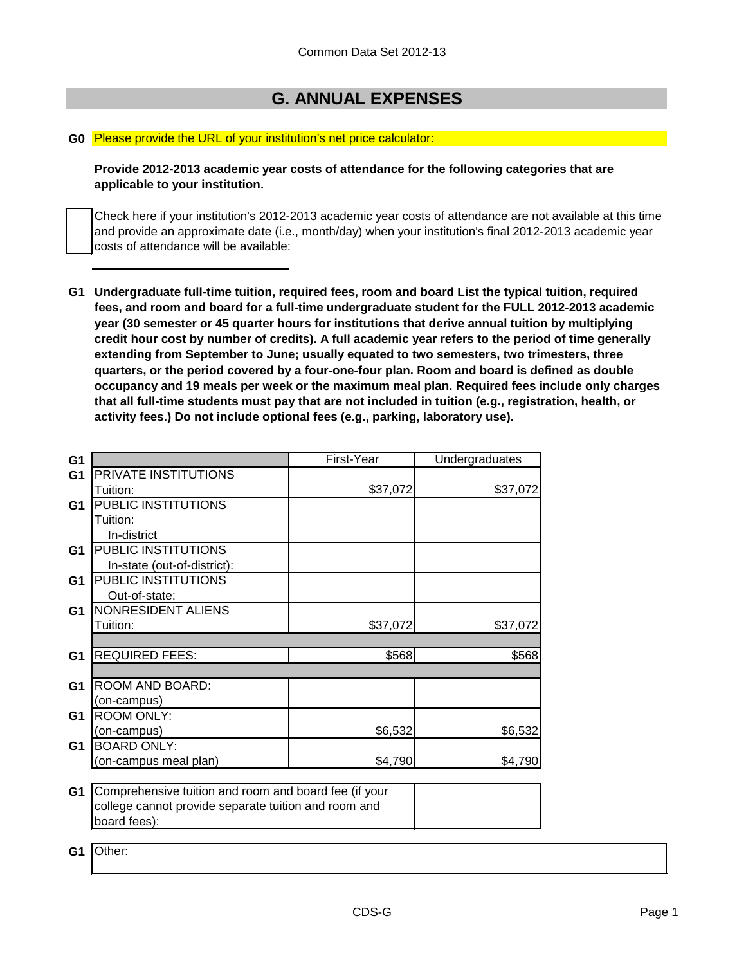# **G. ANNUAL EXPENSES**

## **G0** Please provide the URL of your institution's net price calculator:

**Provide 2012-2013 academic year costs of attendance for the following categories that are applicable to your institution.**

Check here if your institution's 2012-2013 academic year costs of attendance are not available at this time and provide an approximate date (i.e., month/day) when your institution's final 2012-2013 academic year costs of attendance will be available:

**G1 Undergraduate full-time tuition, required fees, room and board List the typical tuition, required fees, and room and board for a full-time undergraduate student for the FULL 2012-2013 academic year (30 semester or 45 quarter hours for institutions that derive annual tuition by multiplying credit hour cost by number of credits). A full academic year refers to the period of time generally extending from September to June; usually equated to two semesters, two trimesters, three quarters, or the period covered by a four-one-four plan. Room and board is defined as double occupancy and 19 meals per week or the maximum meal plan. Required fees include only charges that all full-time students must pay that are not included in tuition (e.g., registration, health, or activity fees.) Do not include optional fees (e.g., parking, laboratory use).**

| G <sub>1</sub> |                                                       | First-Year | Undergraduates |
|----------------|-------------------------------------------------------|------------|----------------|
| G <sub>1</sub> | PRIVATE INSTITUTIONS                                  |            |                |
|                | Tuition:                                              | \$37,072   | \$37,072       |
| G <sub>1</sub> | PUBLIC INSTITUTIONS                                   |            |                |
|                | Tuition:                                              |            |                |
|                | In-district                                           |            |                |
| G1             | PUBLIC INSTITUTIONS                                   |            |                |
|                | In-state (out-of-district):                           |            |                |
| G1             | PUBLIC INSTITUTIONS                                   |            |                |
|                | Out-of-state:                                         |            |                |
| G <sub>1</sub> | NONRESIDENT ALIENS                                    |            |                |
|                | Tuition:                                              | \$37,072   | \$37,072       |
|                |                                                       |            |                |
| G <sub>1</sub> | <b>REQUIRED FEES:</b>                                 | \$568      | \$568          |
|                |                                                       |            |                |
| G <sub>1</sub> | ROOM AND BOARD:                                       |            |                |
|                | (on-campus)                                           |            |                |
| G <sub>1</sub> | <b>ROOM ONLY:</b>                                     |            |                |
|                | (on-campus)                                           | \$6,532    | \$6,532        |
| G1             | <b>BOARD ONLY:</b>                                    |            |                |
|                | (on-campus meal plan)                                 | \$4,790    | \$4,790        |
|                |                                                       |            |                |
| G <sub>1</sub> | Comprehensive tuition and room and board fee (if your |            |                |
|                | college cannot provide separate tuition and room and  |            |                |
|                | board fees):                                          |            |                |
|                |                                                       |            |                |
| G1             | Other:                                                |            |                |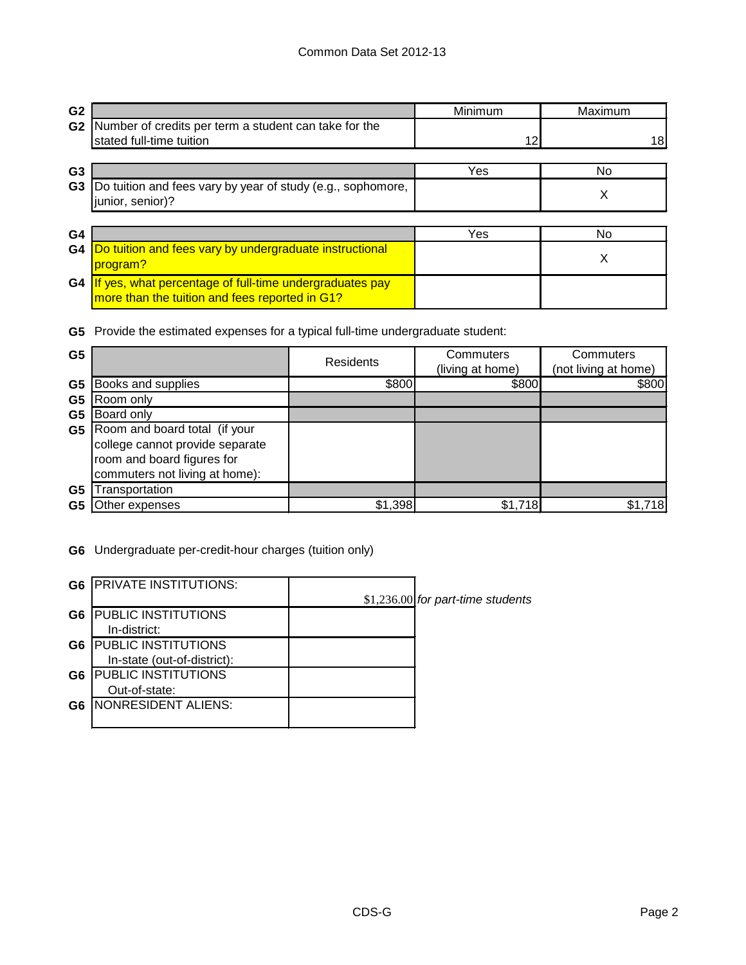| G <sub>2</sub> |                                                             | Minimum | Maximum |
|----------------|-------------------------------------------------------------|---------|---------|
| G <sub>2</sub> | Number of credits per term a student can take for the       |         |         |
|                | stated full-time tuition                                    | 12      | 18      |
|                |                                                             |         |         |
| G <sub>3</sub> |                                                             | Yes     | No      |
| G <sub>3</sub> | Do tuition and fees vary by year of study (e.g., sophomore, |         | Х       |
|                | junior, senior)?                                            |         |         |
|                |                                                             |         |         |
| G4             |                                                             | Yes     | No      |
| G4             | Do tuition and fees vary by undergraduate instructional     |         |         |
|                | program?                                                    |         | х       |
| G4             | If yes, what percentage of full-time undergraduates pay     |         |         |
|                | more than the tuition and fees reported in G1?              |         |         |
|                |                                                             |         |         |

**G5** Provide the estimated expenses for a typical full-time undergraduate student:

| G <sub>5</sub> |                                                                                                                                  | <b>Residents</b> | Commuters        | Commuters            |
|----------------|----------------------------------------------------------------------------------------------------------------------------------|------------------|------------------|----------------------|
|                |                                                                                                                                  |                  | (living at home) | (not living at home) |
| G <sub>5</sub> | Books and supplies                                                                                                               | \$800            | \$800            | \$800                |
| G <sub>5</sub> | Room only                                                                                                                        |                  |                  |                      |
| G5             | Board only                                                                                                                       |                  |                  |                      |
| G5             | Room and board total (if your<br>college cannot provide separate<br>room and board figures for<br>commuters not living at home): |                  |                  |                      |
| G <sub>5</sub> | ransportation                                                                                                                    |                  |                  |                      |
| G5             | Other expenses                                                                                                                   | \$1,398          | \$1,718          | \$1,718              |

**G6** Undergraduate per-credit-hour charges (tuition only)

| G6 | <b>PRIVATE INSTITUTIONS:</b> |                                   |
|----|------------------------------|-----------------------------------|
|    |                              | \$1,236.00 for part-time students |
| G6 | PUBLIC INSTITUTIONS          |                                   |
|    | In-district:                 |                                   |
| G6 | <b>PUBLIC INSTITUTIONS</b>   |                                   |
|    | In-state (out-of-district):  |                                   |
| G6 | <b>PUBLIC INSTITUTIONS</b>   |                                   |
|    | Out-of-state:                |                                   |
| G6 | <b>NONRESIDENT ALIENS:</b>   |                                   |
|    |                              |                                   |
|    |                              |                                   |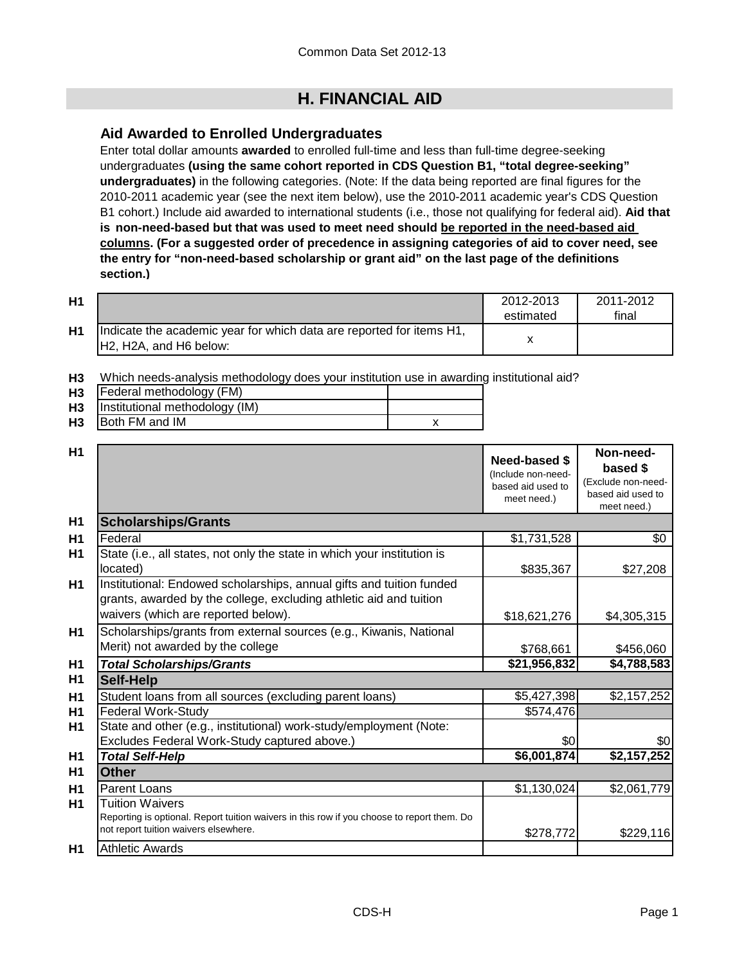# **H. FINANCIAL AID**

## **Aid Awarded to Enrolled Undergraduates**

Enter total dollar amounts **awarded** to enrolled full-time and less than full-time degree-seeking undergraduates **(using the same cohort reported in CDS Question B1, "total degree-seeking" undergraduates)** in the following categories. (Note: If the data being reported are final figures for the 2010-2011 academic year (see the next item below), use the 2010-2011 academic year's CDS Question B1 cohort.) Include aid awarded to international students (i.e., those not qualifying for federal aid). **Aid that is non-need-based but that was used to meet need should be reported in the need-based aid columns. (For a suggested order of precedence in assigning categories of aid to cover need, see the entry for "non-need-based scholarship or grant aid" on the last page of the definitions section.)**

| H1 |                                                                                                                                      | 2012-2013 | 2011-2012 |
|----|--------------------------------------------------------------------------------------------------------------------------------------|-----------|-----------|
|    |                                                                                                                                      | estimated | final     |
| H1 | Indicate the academic year for which data are reported for items H1,<br>H <sub>2</sub> , H <sub>2</sub> A, and H <sub>6</sub> below: |           |           |

**H3** Which needs-analysis methodology does your institution use in awarding institutional aid?

| H <sub>3</sub> | Federal methodology (FM)       |  |
|----------------|--------------------------------|--|
| H <sub>3</sub> | Institutional methodology (IM) |  |
| H <sub>3</sub> | <b>IBoth FM and IM</b>         |  |

| H1              |                                                                                                                                                                                         | Need-based \$<br>(Include non-need-<br>based aid used to<br>meet need.) | Non-need-<br>based \$<br>(Exclude non-need-<br>based aid used to<br>meet need.) |
|-----------------|-----------------------------------------------------------------------------------------------------------------------------------------------------------------------------------------|-------------------------------------------------------------------------|---------------------------------------------------------------------------------|
| H1              | <b>Scholarships/Grants</b>                                                                                                                                                              |                                                                         |                                                                                 |
| H1              | Federal                                                                                                                                                                                 | \$1,731,528                                                             | \$0                                                                             |
| H1              | State (i.e., all states, not only the state in which your institution is<br>located)                                                                                                    | \$835,367                                                               | \$27,208                                                                        |
| <b>H1</b>       | Institutional: Endowed scholarships, annual gifts and tuition funded<br>grants, awarded by the college, excluding athletic aid and tuition<br>waivers (which are reported below).       | \$18,621,276                                                            | \$4,305,315                                                                     |
| H1              | Scholarships/grants from external sources (e.g., Kiwanis, National<br>Merit) not awarded by the college                                                                                 | \$768,661                                                               | \$456,060                                                                       |
| H1              | <b>Total Scholarships/Grants</b>                                                                                                                                                        | \$21,956,832                                                            | \$4,788,583                                                                     |
| H1              | <b>Self-Help</b>                                                                                                                                                                        |                                                                         |                                                                                 |
| H1              | Student loans from all sources (excluding parent loans)                                                                                                                                 | \$5,427,398                                                             | \$2,157,252                                                                     |
| H1              | <b>Federal Work-Study</b>                                                                                                                                                               | \$574,476                                                               |                                                                                 |
| H1              | State and other (e.g., institutional) work-study/employment (Note:                                                                                                                      |                                                                         |                                                                                 |
|                 | Excludes Federal Work-Study captured above.)                                                                                                                                            | \$0                                                                     | \$0                                                                             |
| H1              | <b>Total Self-Help</b>                                                                                                                                                                  | \$6,001,874                                                             | \$2,157,252                                                                     |
| H1              | <b>Other</b>                                                                                                                                                                            |                                                                         |                                                                                 |
| H1              | <b>Parent Loans</b>                                                                                                                                                                     | \$1,130,024                                                             | \$2,061,779                                                                     |
| <b>H1</b><br>H1 | <b>Tuition Waivers</b><br>Reporting is optional. Report tuition waivers in this row if you choose to report them. Do<br>not report tuition waivers elsewhere.<br><b>Athletic Awards</b> | \$278,772                                                               | \$229,116                                                                       |
|                 |                                                                                                                                                                                         |                                                                         |                                                                                 |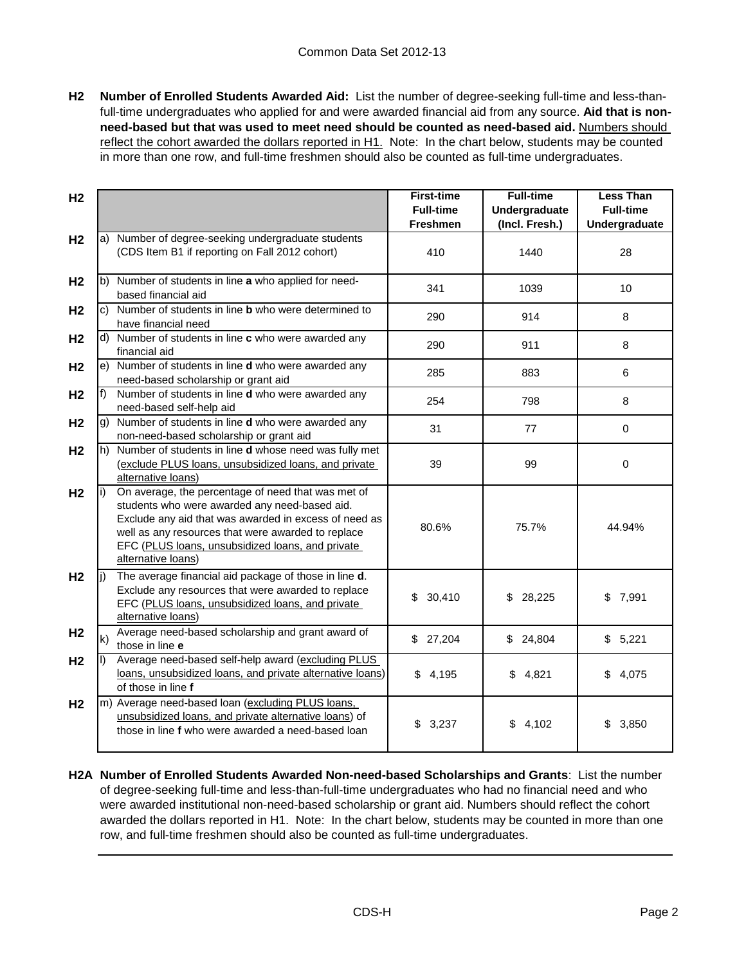**H2 Number of Enrolled Students Awarded Aid:** List the number of degree-seeking full-time and less-thanfull-time undergraduates who applied for and were awarded financial aid from any source. **Aid that is nonneed-based but that was used to meet need should be counted as need-based aid.** Numbers should reflect the cohort awarded the dollars reported in H1. Note: In the chart below, students may be counted in more than one row, and full-time freshmen should also be counted as full-time undergraduates.

| H <sub>2</sub> |       |                                                                                                                                                                                                                                                                                              | <b>First-time</b><br><b>Full-time</b><br><b>Freshmen</b> | <b>Full-time</b><br>Undergraduate<br>(Incl. Fresh.) | <b>Less Than</b><br><b>Full-time</b><br>Undergraduate |
|----------------|-------|----------------------------------------------------------------------------------------------------------------------------------------------------------------------------------------------------------------------------------------------------------------------------------------------|----------------------------------------------------------|-----------------------------------------------------|-------------------------------------------------------|
| H <sub>2</sub> |       | a) Number of degree-seeking undergraduate students<br>(CDS Item B1 if reporting on Fall 2012 cohort)                                                                                                                                                                                         | 410                                                      | 1440                                                | 28                                                    |
| H <sub>2</sub> |       | b) Number of students in line a who applied for need-<br>based financial aid                                                                                                                                                                                                                 | 341                                                      | 1039                                                | 10                                                    |
| H <sub>2</sub> |       | c) Number of students in line <b>b</b> who were determined to<br>have financial need                                                                                                                                                                                                         | 290                                                      | 914                                                 | 8                                                     |
| H <sub>2</sub> |       | d) Number of students in line c who were awarded any<br>financial aid                                                                                                                                                                                                                        | 290                                                      | 911                                                 | 8                                                     |
| H <sub>2</sub> |       | e) Number of students in line <b>d</b> who were awarded any<br>need-based scholarship or grant aid                                                                                                                                                                                           | 285                                                      | 883                                                 | 6                                                     |
| H <sub>2</sub> | $f$ ) | Number of students in line d who were awarded any<br>need-based self-help aid                                                                                                                                                                                                                | 254                                                      | 798                                                 | 8                                                     |
| H <sub>2</sub> |       | g) Number of students in line d who were awarded any<br>non-need-based scholarship or grant aid                                                                                                                                                                                              | 31                                                       | 77                                                  | $\mathbf 0$                                           |
| H <sub>2</sub> |       | h) Number of students in line <b>d</b> whose need was fully met<br>(exclude PLUS loans, unsubsidized loans, and private<br>alternative loans)                                                                                                                                                | 39                                                       | 99                                                  | $\mathbf 0$                                           |
| H <sub>2</sub> |       | On average, the percentage of need that was met of<br>students who were awarded any need-based aid.<br>Exclude any aid that was awarded in excess of need as<br>well as any resources that were awarded to replace<br>EFC (PLUS loans, unsubsidized loans, and private<br>alternative loans) | 80.6%                                                    | 75.7%                                               | 44.94%                                                |
| H <sub>2</sub> | li)   | The average financial aid package of those in line d.<br>Exclude any resources that were awarded to replace<br>EFC (PLUS loans, unsubsidized loans, and private<br>alternative loans)                                                                                                        | \$<br>30,410                                             | \$<br>28,225                                        | 7,991<br>\$                                           |
| H <sub>2</sub> | k)    | Average need-based scholarship and grant award of<br>those in line e                                                                                                                                                                                                                         | \$27,204                                                 | \$24,804                                            | \$5,221                                               |
| H <sub>2</sub> |       | Average need-based self-help award (excluding PLUS<br>loans, unsubsidized loans, and private alternative loans)<br>of those in line f                                                                                                                                                        | \$4,195                                                  | \$4,821                                             | \$4,075                                               |
| H <sub>2</sub> |       | m) Average need-based loan (excluding PLUS loans,<br>unsubsidized loans, and private alternative loans) of<br>those in line f who were awarded a need-based loan                                                                                                                             | \$3,237                                                  | \$4,102                                             | 3,850<br>\$                                           |

**H2A Number of Enrolled Students Awarded Non-need-based Scholarships and Grants**: List the number of degree-seeking full-time and less-than-full-time undergraduates who had no financial need and who were awarded institutional non-need-based scholarship or grant aid. Numbers should reflect the cohort awarded the dollars reported in H1. Note: In the chart below, students may be counted in more than one row, and full-time freshmen should also be counted as full-time undergraduates.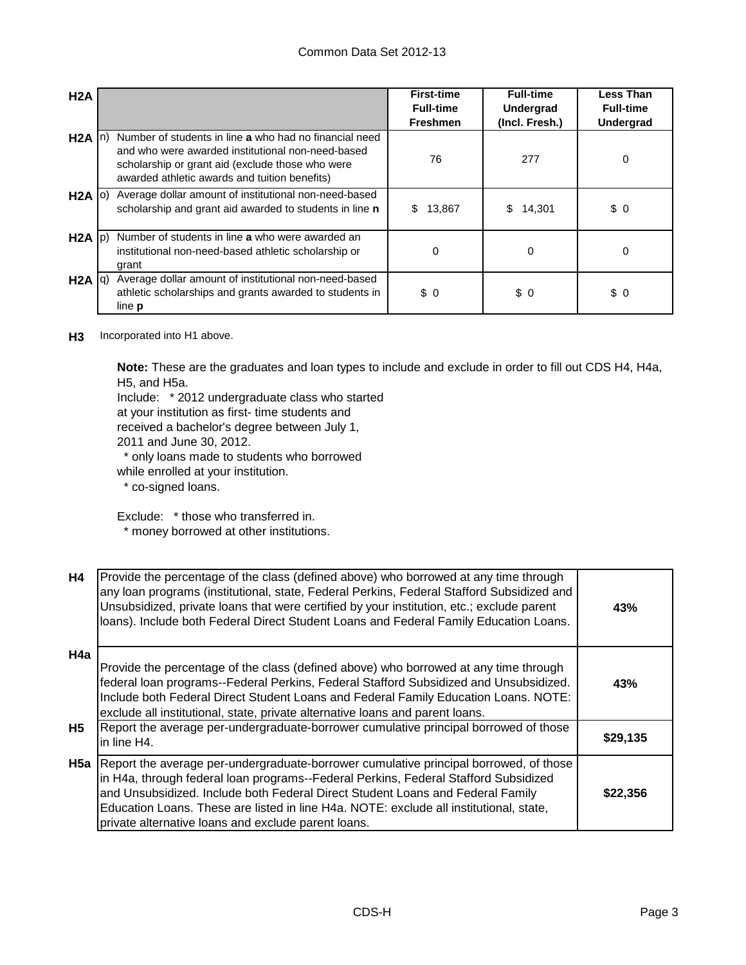| H2A               |                                                         | <b>First-time</b>                   | <b>Full-time</b>                   | <b>Less Than</b> |
|-------------------|---------------------------------------------------------|-------------------------------------|------------------------------------|------------------|
|                   |                                                         | <b>Full-time</b><br><b>Freshmen</b> | <b>Undergrad</b><br>(Incl. Fresh.) | <b>Full-time</b> |
|                   |                                                         |                                     |                                    | <b>Undergrad</b> |
| $H2A \ln$         | Number of students in line a who had no financial need  |                                     |                                    |                  |
|                   | and who were awarded institutional non-need-based       | 76                                  | 277                                | 0                |
|                   | scholarship or grant aid (exclude those who were        |                                     |                                    |                  |
|                   | awarded athletic awards and tuition benefits)           |                                     |                                    |                  |
| $H2A$ (0)         | Average dollar amount of institutional non-need-based   |                                     |                                    |                  |
|                   | scholarship and grant aid awarded to students in line n | 13,867<br>S                         | 14,301<br>\$                       | \$0              |
|                   |                                                         |                                     |                                    |                  |
| $H2A$ $ p\rangle$ | Number of students in line <b>a</b> who were awarded an |                                     |                                    |                  |
|                   | institutional non-need-based athletic scholarship or    | 0                                   | $\Omega$                           | 0                |
|                   | grant                                                   |                                     |                                    |                  |
| $H2A  q\rangle$   | Average dollar amount of institutional non-need-based   |                                     |                                    |                  |
|                   | athletic scholarships and grants awarded to students in | \$0                                 | \$0                                | \$0              |
|                   | line <b>p</b>                                           |                                     |                                    |                  |

## **H3** Incorporated into H1 above.

**Note:** These are the graduates and loan types to include and exclude in order to fill out CDS H4, H4a, H5, and H5a.

Include: \* 2012 undergraduate class who started at your institution as first- time students and

received a bachelor's degree between July 1,

2011 and June 30, 2012.

\* only loans made to students who borrowed

while enrolled at your institution.

\* co-signed loans.

Exclude: \* those who transferred in.

\* money borrowed at other institutions.

| <b>H4</b> | Provide the percentage of the class (defined above) who borrowed at any time through<br>any loan programs (institutional, state, Federal Perkins, Federal Stafford Subsidized and<br>Unsubsidized, private loans that were certified by your institution, etc.; exclude parent<br>loans). Include both Federal Direct Student Loans and Federal Family Education Loans.                                                    | 43%      |
|-----------|----------------------------------------------------------------------------------------------------------------------------------------------------------------------------------------------------------------------------------------------------------------------------------------------------------------------------------------------------------------------------------------------------------------------------|----------|
| H4a       | Provide the percentage of the class (defined above) who borrowed at any time through<br>federal loan programs--Federal Perkins, Federal Stafford Subsidized and Unsubsidized.<br>Include both Federal Direct Student Loans and Federal Family Education Loans. NOTE:<br>exclude all institutional, state, private alternative loans and parent loans.                                                                      | 43%      |
| <b>H5</b> | Report the average per-undergraduate-borrower cumulative principal borrowed of those<br>in line H4.                                                                                                                                                                                                                                                                                                                        | \$29,135 |
|           | <b>H5a</b> Report the average per-undergraduate-borrower cumulative principal borrowed, of those<br>in H4a, through federal loan programs--Federal Perkins, Federal Stafford Subsidized<br>and Unsubsidized. Include both Federal Direct Student Loans and Federal Family<br>Education Loans. These are listed in line H4a. NOTE: exclude all institutional, state,<br>private alternative loans and exclude parent loans. | \$22,356 |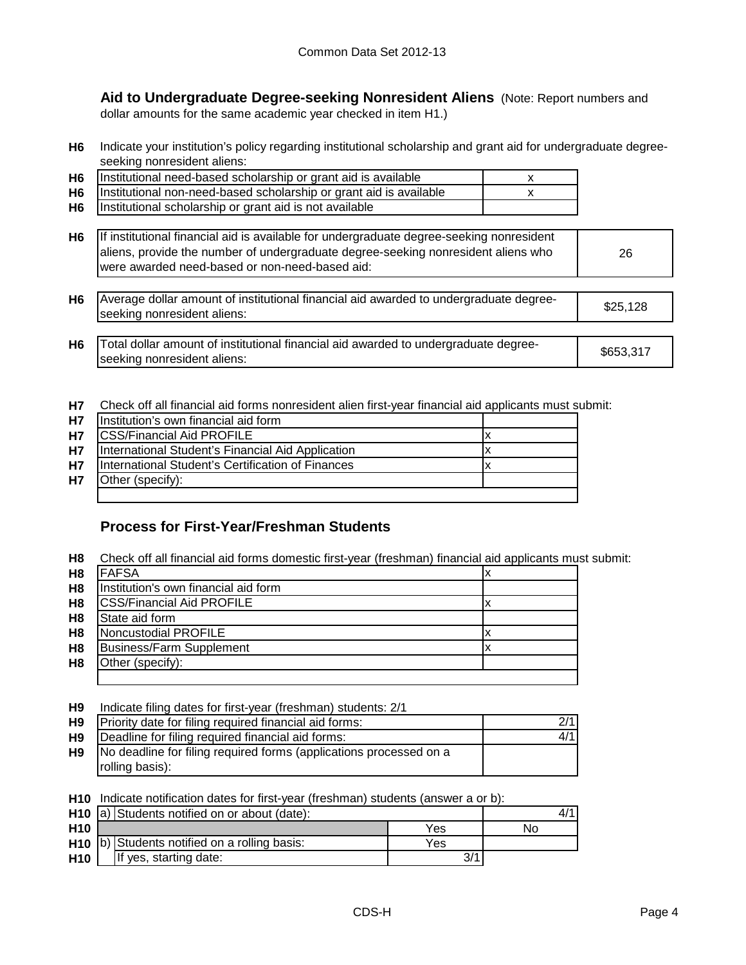**Aid to Undergraduate Degree-seeking Nonresident Aliens** (Note: Report numbers and dollar amounts for the same academic year checked in item H1.)

**H6** Indicate your institution's policy regarding institutional scholarship and grant aid for undergraduate degreeseeking nonresident aliens:

| H <sub>6</sub> | Institutional need-based scholarship or grant aid is available         |  |
|----------------|------------------------------------------------------------------------|--|
|                | H6  Institutional non-need-based scholarship or grant aid is available |  |
|                | H6  Institutional scholarship or grant aid is not available            |  |

| H <sub>6</sub> | If institutional financial aid is available for undergraduate degree-seeking nonresident<br>aliens, provide the number of undergraduate degree-seeking nonresident aliens who<br>were awarded need-based or non-need-based aid: | 26       |
|----------------|---------------------------------------------------------------------------------------------------------------------------------------------------------------------------------------------------------------------------------|----------|
| H <sub>6</sub> | Average dollar amount of institutional financial aid awarded to undergraduate degree-<br>seeking nonresident aliens:                                                                                                            | \$25.128 |

| H6   Total dollar amount of institutional financial aid awarded to undergraduate degree- | \$653,317 |
|------------------------------------------------------------------------------------------|-----------|
| seeking nonresident aliens:                                                              |           |

## **H7** Check off all financial aid forms nonresident alien first-year financial aid applicants must submit:

| <b>H7</b> | Institution's own financial aid form              |  |
|-----------|---------------------------------------------------|--|
| <b>H7</b> | <b>CSS/Financial Aid PROFILE</b>                  |  |
| <b>H7</b> | International Student's Financial Aid Application |  |
| <b>H7</b> | International Student's Certification of Finances |  |
| <b>H7</b> | Other (specify):                                  |  |
|           |                                                   |  |

## **Process for First-Year/Freshman Students**

**H8** Check off all financial aid forms domestic first-year (freshman) financial aid applicants must submit:

| H <sub>8</sub> | FAFSA                                | Iχ |
|----------------|--------------------------------------|----|
| H <sub>8</sub> | Institution's own financial aid form |    |
| H <sub>8</sub> | <b>CSS/Financial Aid PROFILE</b>     |    |
| H <sub>8</sub> | State aid form                       |    |
| H <sub>8</sub> | Noncustodial PROFILE                 |    |
| H <sub>8</sub> | <b>Business/Farm Supplement</b>      |    |
| H <sub>8</sub> | Other (specify):                     |    |
|                |                                      |    |

| H <sub>9</sub> | Indicate filing dates for first-year (freshman) students: 2/1  |
|----------------|----------------------------------------------------------------|
| H <sub>9</sub> | <b>IPriority date for filing required financial aid forms:</b> |

| H9        | Priority date for filing required financial aid forms:             | 2/1 |
|-----------|--------------------------------------------------------------------|-----|
| <b>H9</b> | Deadline for filing required financial aid forms:                  | 4/1 |
| H9        | No deadline for filing required forms (applications processed on a |     |
|           | rolling basis):                                                    |     |

**H10** Indicate notification dates for first-year (freshman) students (answer a or b):

|            | <b>H10</b> a) Students notified on or about (date): |     | 4/1 |
|------------|-----------------------------------------------------|-----|-----|
| <b>H10</b> |                                                     | Yes | No  |
|            | H10  b) Students notified on a rolling basis:       | Yes |     |
| <b>H10</b> | If yes, starting date:                              |     |     |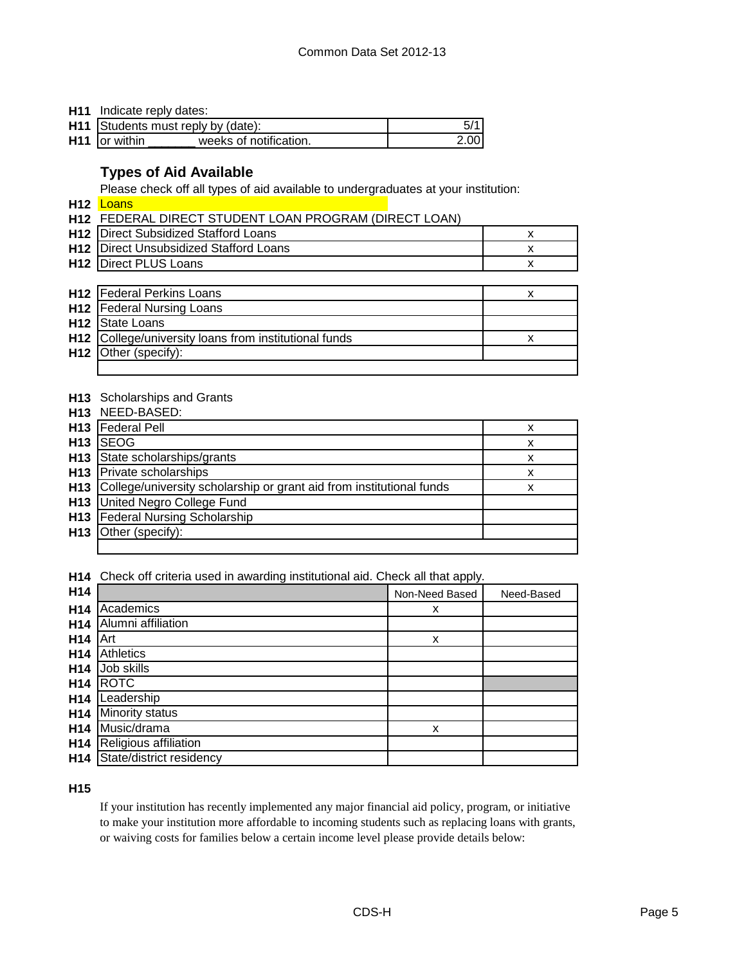## **H11** Indicate reply dates:

| <b>H11</b> Students must reply by (date): |                        |      |
|-------------------------------------------|------------------------|------|
| H <sub>11</sub> or within                 | weeks of notification. | 2.00 |

## **Types of Aid Available**

Please check off all types of aid available to undergraduates at your institution:

**H12** Loans

**H12** FEDERAL DIRECT STUDENT LOAN PROGRAM (DIRECT LOAN)

| <b>H12</b> Direct Subsidized Stafford Loans   |  |
|-----------------------------------------------|--|
| <b>H12</b> Direct Unsubsidized Stafford Loans |  |
| <b>H12</b> Direct PLUS Loans                  |  |

| <b>H12</b> Federal Perkins Loans                      |  |
|-------------------------------------------------------|--|
| <b>H12</b> Federal Nursing Loans                      |  |
| <b>H12</b> State Loans                                |  |
| H12 College/university loans from institutional funds |  |
| $H12$ Other (specify):                                |  |
|                                                       |  |

## **H13** Scholarships and Grants

**H13** NEED-BASED: **H13** x Federal Pell **H13** x SEOG **H13** State scholarships/grants x **H13** Private scholarships in the set of the set of the set of the set of the set of the set of the set of the set of the set of the set of the set of the set of the set of the set of the set of the set of the set of the s **H13** College/university scholarship or grant aid from institutional funds Telecton State **H13** United Negro College Fund**H13** Federal Nursing Scholarship **H13** Other (specify):

**H14** Check off criteria used in awarding institutional aid. Check all that apply.

| H14             |                          | Non-Need Based | Need-Based |
|-----------------|--------------------------|----------------|------------|
| H <sub>14</sub> | Academics                | x              |            |
| H <sub>14</sub> | Alumni affiliation       |                |            |
| H <sub>14</sub> | Art                      | X              |            |
| H <sub>14</sub> | <b>Athletics</b>         |                |            |
| H <sub>14</sub> | Job skills               |                |            |
| H <sub>14</sub> | <b>ROTC</b>              |                |            |
| H <sub>14</sub> | Leadership               |                |            |
| H <sub>14</sub> | Minority status          |                |            |
| H <sub>14</sub> | Music/drama              | X              |            |
| H <sub>14</sub> | Religious affiliation    |                |            |
| H <sub>14</sub> | State/district residency |                |            |
|                 |                          |                |            |

**H15**

If your institution has recently implemented any major financial aid policy, program, or initiative to make your institution more affordable to incoming students such as replacing loans with grants, or waiving costs for families below a certain income level please provide details below: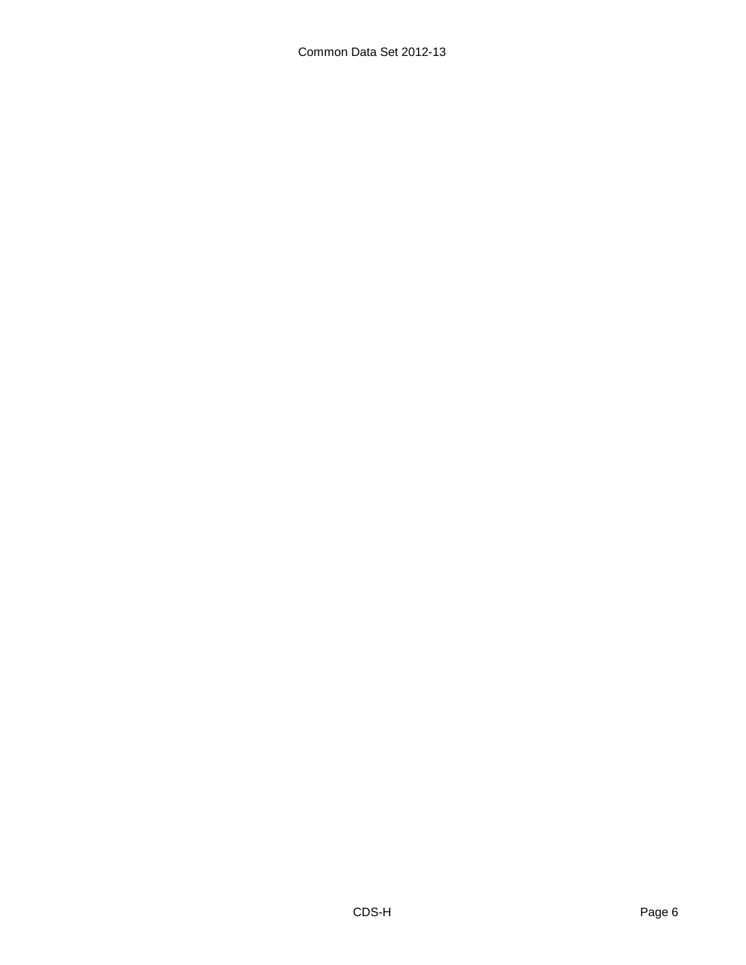Common Data Set 2012-13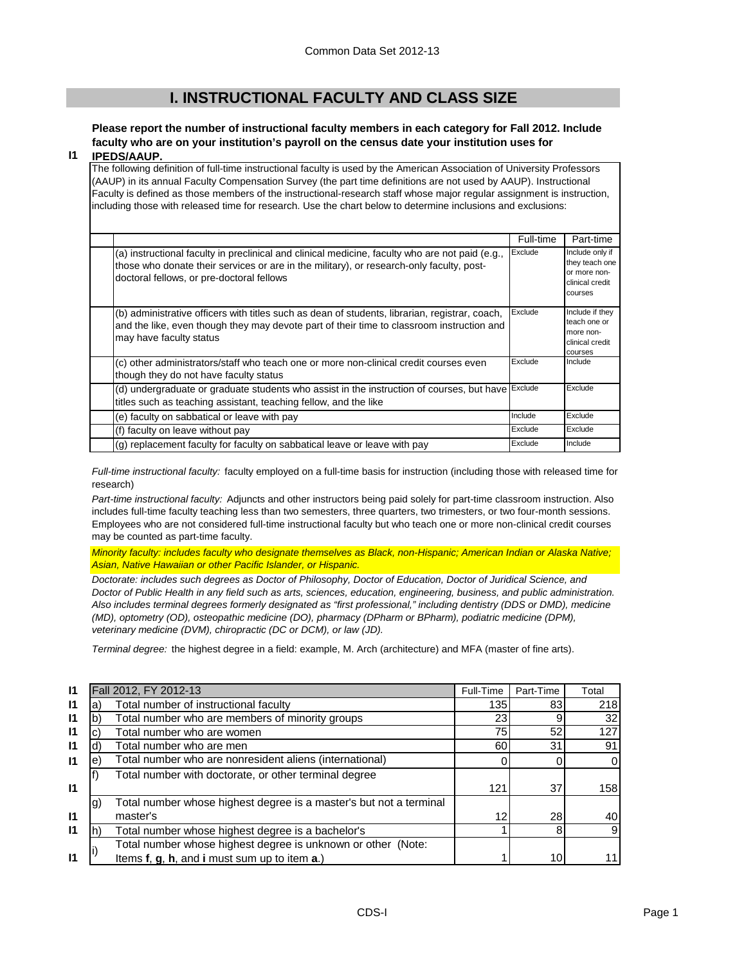## **I. INSTRUCTIONAL FACULTY AND CLASS SIZE**

#### **Please report the number of instructional faculty members in each category for Fall 2012. Include faculty who are on your institution's payroll on the census date your institution uses for IPEDS/AAUP.**

#### **I1**

The following definition of full-time instructional faculty is used by the American Association of University Professors (AAUP) in its annual Faculty Compensation Survey (the part time definitions are not used by AAUP). Instructional Faculty is defined as those members of the instructional-research staff whose major regular assignment is instruction, including those with released time for research. Use the chart below to determine inclusions and exclusions:

|                                                                                                                                                                                                                                          | Full-time | Part-time                                                                       |
|------------------------------------------------------------------------------------------------------------------------------------------------------------------------------------------------------------------------------------------|-----------|---------------------------------------------------------------------------------|
| (a) instructional faculty in preclinical and clinical medicine, faculty who are not paid (e.g.,<br>those who donate their services or are in the military), or research-only faculty, post-<br>doctoral fellows, or pre-doctoral fellows | Exclude   | Include only if<br>they teach one<br>or more non-<br>clinical credit<br>courses |
| (b) administrative officers with titles such as dean of students, librarian, registrar, coach,<br>and the like, even though they may devote part of their time to classroom instruction and<br>may have faculty status                   | Exclude   | Include if they<br>teach one or<br>more non-<br>clinical credit<br>courses      |
| (c) other administrators/staff who teach one or more non-clinical credit courses even<br>though they do not have faculty status                                                                                                          | Exclude   | Include                                                                         |
| (d) undergraduate or graduate students who assist in the instruction of courses, but have Exclude<br>titles such as teaching assistant, teaching fellow, and the like                                                                    |           | Exclude                                                                         |
| (e) faculty on sabbatical or leave with pay                                                                                                                                                                                              | Include   | Exclude                                                                         |
| (f) faculty on leave without pay                                                                                                                                                                                                         | Exclude   | Exclude                                                                         |
| (g) replacement faculty for faculty on sabbatical leave or leave with pay                                                                                                                                                                | Exclude   | Include                                                                         |

*Full-time instructional faculty:* faculty employed on a full-time basis for instruction (including those with released time for research)

*Part-time instructional faculty:* Adjuncts and other instructors being paid solely for part-time classroom instruction. Also includes full-time faculty teaching less than two semesters, three quarters, two trimesters, or two four-month sessions. Employees who are not considered full-time instructional faculty but who teach one or more non-clinical credit courses may be counted as part-time faculty.

*Minority faculty: includes faculty who designate themselves as Black, non-Hispanic; American Indian or Alaska Native; Asian, Native Hawaiian or other Pacific Islander, or Hispanic.* 

*Doctorate: includes such degrees as Doctor of Philosophy, Doctor of Education, Doctor of Juridical Science, and Doctor of Public Health in any field such as arts, sciences, education, engineering, business, and public administration. Also includes terminal degrees formerly designated as "first professional," including dentistry (DDS or DMD), medicine (MD), optometry (OD), osteopathic medicine (DO), pharmacy (DPharm or BPharm), podiatric medicine (DPM), veterinary medicine (DVM), chiropractic (DC or DCM), or law (JD).*

*Terminal degree:* the highest degree in a field: example, M. Arch (architecture) and MFA (master of fine arts).

| $\mathbf{I}$ |     | Fall 2012, FY 2012-13                                              | Full-Time | Part-Time | Total       |
|--------------|-----|--------------------------------------------------------------------|-----------|-----------|-------------|
| $\mathbf{I}$ | a)  | Total number of instructional faculty                              | 135       | 83        | 218         |
| $\mathsf{I}$ | lb) | Total number who are members of minority groups                    | 23        | 9         | 32          |
| $\mathbf{I}$ | C)  | Total number who are women                                         | 75        | 52        | 127         |
| $\mathbf{I}$ | d)  | Total number who are men                                           | 60        | 31        | 91          |
| $\mathbf{I}$ | e)  | Total number who are nonresident aliens (international)            |           |           | $\mathbf 0$ |
|              |     | Total number with doctorate, or other terminal degree              |           |           |             |
| $\mathsf{I}$ |     |                                                                    | 121       | 37        | 158         |
|              | lg) | Total number whose highest degree is a master's but not a terminal |           |           |             |
| $\mathbf{I}$ |     | master's                                                           | 12        | 28        | 40          |
| $\mathsf{I}$ |     | Total number whose highest degree is a bachelor's                  |           | 8         | 9           |
|              |     | Total number whose highest degree is unknown or other (Note:       |           |           |             |
| 11           |     | Items f, g, h, and i must sum up to item a.)                       |           | 10        |             |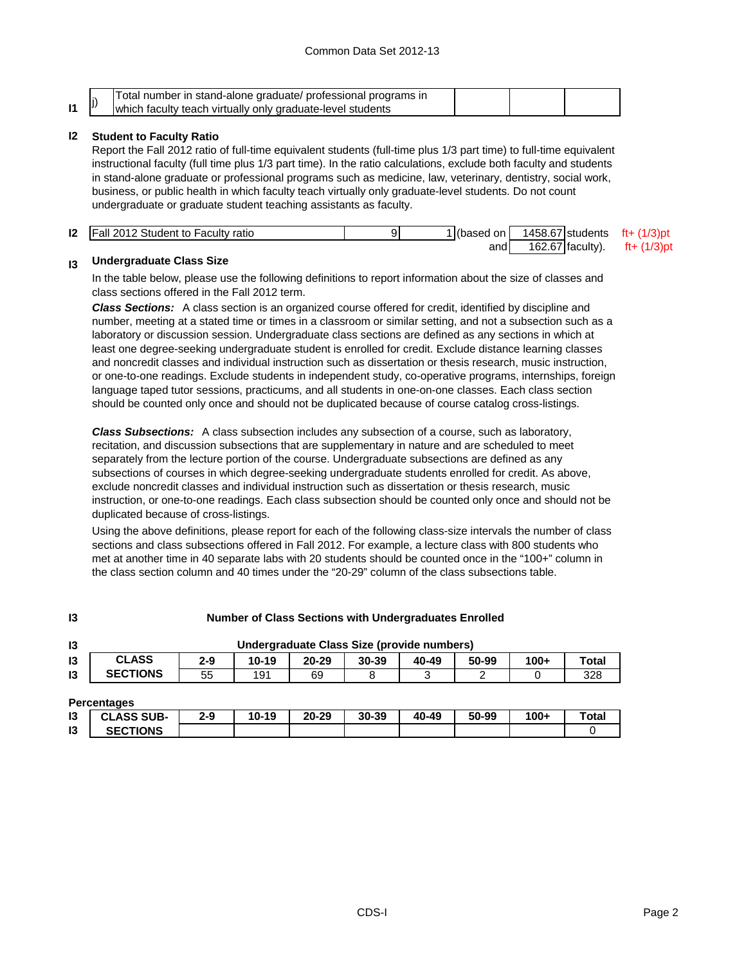|     | Total number in stand-alone graduate/ professional programs in |  |  |
|-----|----------------------------------------------------------------|--|--|
| IJ, | which faculty teach virtually only graduate-level students     |  |  |

## **I2 Student to Faculty Ratio**

Report the Fall 2012 ratio of full-time equivalent students (full-time plus 1/3 part time) to full-time equivalent instructional faculty (full time plus 1/3 part time). In the ratio calculations, exclude both faculty and students in stand-alone graduate or professional programs such as medicine, law, veterinary, dentistry, social work, business, or public health in which faculty teach virtually only graduate-level students. Do not count undergraduate or graduate student teaching assistants as faculty.

| <b>12</b>   Fall 2012 Student to Faculty ratio | I (based on I | 1458.67 students     | ft+ (1/3)pt    |
|------------------------------------------------|---------------|----------------------|----------------|
|                                                | and           | 162.67 $ $ faculty). | $ft + (1/3)pt$ |

#### **I3 Undergraduate Class Size**

In the table below, please use the following definitions to report information about the size of classes and class sections offered in the Fall 2012 term.

*Class Sections:* A class section is an organized course offered for credit, identified by discipline and number, meeting at a stated time or times in a classroom or similar setting, and not a subsection such as a laboratory or discussion session. Undergraduate class sections are defined as any sections in which at least one degree-seeking undergraduate student is enrolled for credit. Exclude distance learning classes and noncredit classes and individual instruction such as dissertation or thesis research, music instruction, or one-to-one readings. Exclude students in independent study, co-operative programs, internships, foreign language taped tutor sessions, practicums, and all students in one-on-one classes. Each class section should be counted only once and should not be duplicated because of course catalog cross-listings.

*Class Subsections:* A class subsection includes any subsection of a course, such as laboratory, recitation, and discussion subsections that are supplementary in nature and are scheduled to meet separately from the lecture portion of the course. Undergraduate subsections are defined as any subsections of courses in which degree-seeking undergraduate students enrolled for credit. As above, exclude noncredit classes and individual instruction such as dissertation or thesis research, music instruction, or one-to-one readings. Each class subsection should be counted only once and should not be duplicated because of cross-listings.

Using the above definitions, please report for each of the following class-size intervals the number of class sections and class subsections offered in Fall 2012. For example, a lecture class with 800 students who met at another time in 40 separate labs with 20 students should be counted once in the "100+" column in the class section column and 40 times under the "20-29" column of the class subsections table.

| I<br>٠<br>× |
|-------------|
| ×<br>۰.     |

## **Number of Class Sections with Undergraduates Enrolled**

| 13 | Undergraduate Class Size (provide numbers) |         |           |           |       |       |       |         |              |  |  |
|----|--------------------------------------------|---------|-----------|-----------|-------|-------|-------|---------|--------------|--|--|
| 13 | <b>CLASS</b>                               | $2 - 9$ | $10 - 19$ | $20 - 29$ | 30-39 | 40-49 | 50-99 | $100 +$ | $\sf{Total}$ |  |  |
| 13 | <b>SECTIONS</b>                            | 55      | 191       | 69        |       |       |       |         | 328          |  |  |

#### **Percentages**

| $\sim$ - 00116000 |                                |         |       |       |       |       |       |        |             |  |
|-------------------|--------------------------------|---------|-------|-------|-------|-------|-------|--------|-------------|--|
| $\sim$<br>IJ      | <b>ASS SUB-</b><br>יי<br>ulaงง | $2 - 9$ | 10-19 | 20-29 | 30-39 | 40-49 | 50-99 | $100+$ | $\tau$ otal |  |
| 13                | <b>SECTIONS</b>                |         |       |       |       |       |       |        |             |  |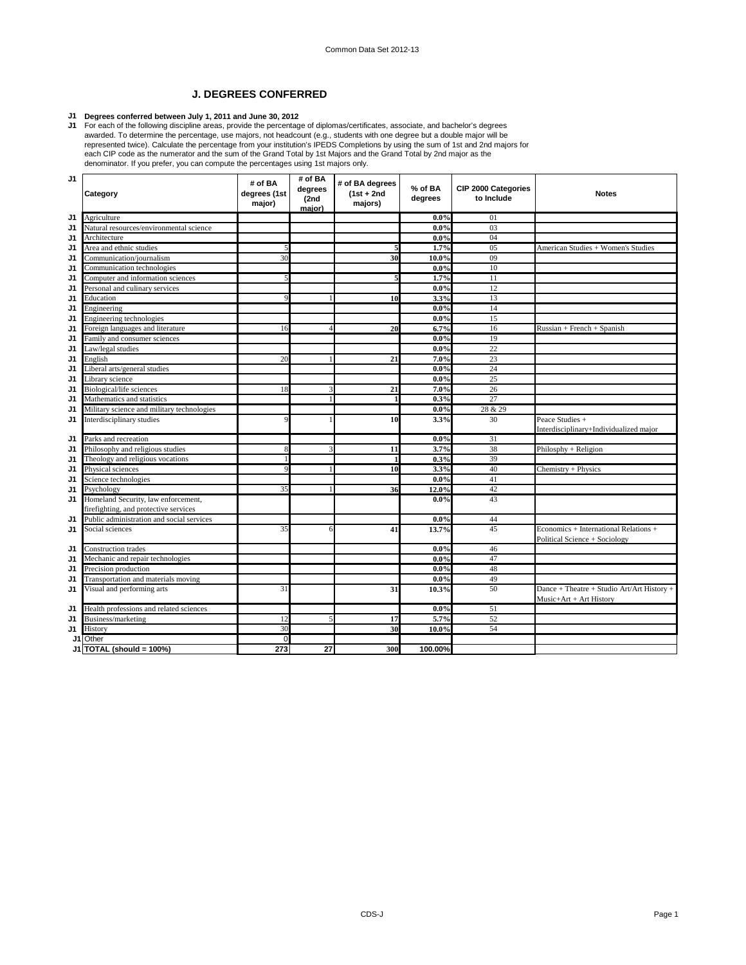#### **J. DEGREES CONFERRED**

J1 Degrees conferred between July 1, 2011 and June 30, 2012<br>The reach of the following discipline areas, provide the percentage of diplomas/certificates, associate, and bachelor's degrees<br>awarded. To determine the percenta each CIP code as the numerator and the sum of the Grand Total by 1st Majors and the Grand Total by 2nd major as the denominator. If you prefer, you can compute the percentages using 1st majors only.

| J <sub>1</sub> | Category                                   | # of BA<br>degrees (1st<br>major) | # of BA<br>degrees<br>(2nd)<br>maior) | # of BA degrees<br>$(1st + 2nd)$<br>majors) | % of BA<br>degrees | CIP 2000 Categories<br>to Include | <b>Notes</b>                                                           |
|----------------|--------------------------------------------|-----------------------------------|---------------------------------------|---------------------------------------------|--------------------|-----------------------------------|------------------------------------------------------------------------|
| J1             | Agriculture                                |                                   |                                       |                                             | $0.0\%$            | 01                                |                                                                        |
| J1             | Natural resources/environmental science    |                                   |                                       |                                             | 0.0%               | 03                                |                                                                        |
| J1             | Architecture                               |                                   |                                       |                                             | $0.0\%$            | 04                                |                                                                        |
| J1             | Area and ethnic studies                    | 5                                 |                                       | 5                                           | 1.7%               | 0 <sub>5</sub>                    | American Studies + Women's Studies                                     |
| J1             | Communication/journalism                   | 30                                |                                       | 30                                          | 10.0%              | 09                                |                                                                        |
| J1             | Communication technologies                 |                                   |                                       |                                             | $0.0\%$            | 10                                |                                                                        |
| J1             | Computer and information sciences          |                                   |                                       | 5                                           | 1.7%               | 11                                |                                                                        |
| J1             | Personal and culinary services             |                                   |                                       |                                             | $0.0\%$            | 12                                |                                                                        |
| J1             | Education                                  |                                   |                                       | 10                                          | 3.3%               | 13                                |                                                                        |
| J1             | Engineering                                |                                   |                                       |                                             | $0.0\%$            | 14                                |                                                                        |
| J1             | Engineering technologies                   |                                   |                                       |                                             | $0.0\%$            | 15                                |                                                                        |
| J1             | Foreign languages and literature           | 16                                |                                       | 20                                          | 6.7%               | 16                                | Russian + French + Spanish                                             |
| J1             | Family and consumer sciences               |                                   |                                       |                                             | $0.0\%$            | 19                                |                                                                        |
| J1             | Law/legal studies                          |                                   |                                       |                                             | $0.0\%$            | 22                                |                                                                        |
| J1             | English                                    | 20                                |                                       | 21                                          | 7.0%               | 23                                |                                                                        |
| J1             | Liberal arts/general studies               |                                   |                                       |                                             | 0.0%               | 24                                |                                                                        |
| J1             | Library science                            |                                   |                                       |                                             | $0.0\%$            | 25                                |                                                                        |
| J1             | Biological/life sciences                   | 18                                |                                       | $\overline{21}$                             | 7.0%               | 26                                |                                                                        |
| J1             | Mathematics and statistics                 |                                   |                                       |                                             | 0.3%               | $\overline{27}$                   |                                                                        |
| J1             | Military science and military technologies |                                   |                                       |                                             | $0.0\%$            | 28 & 29                           |                                                                        |
| J1             | Interdisciplinary studies                  |                                   |                                       | 10                                          | 3.3%               | 30                                | Peace Studies +<br>Interdisciplinary+Individualized major              |
| J1             | Parks and recreation                       |                                   |                                       |                                             | $0.0\%$            | 31                                |                                                                        |
| J1             | Philosophy and religious studies           |                                   |                                       | 11                                          | 3.7%               | 38                                | Philosphy + Religion                                                   |
| J1             | Theology and religious vocations           |                                   |                                       | 1                                           | 0.3%               | 39                                |                                                                        |
| J1             | Physical sciences                          | $\Omega$                          |                                       | 10                                          | 3.3%               | 40                                | Chemistry + Physics                                                    |
| J1             | Science technologies                       |                                   |                                       |                                             | $0.0\%$            | 41                                |                                                                        |
| J1             | Psychology                                 | 35                                |                                       | 36                                          | 12.0%              | 42                                |                                                                        |
| J1             | Homeland Security, law enforcement,        |                                   |                                       |                                             | $0.0\%$            | 43                                |                                                                        |
|                | firefighting, and protective services      |                                   |                                       |                                             |                    |                                   |                                                                        |
| J1             | Public administration and social services  |                                   |                                       |                                             | $0.0\%$            | 44                                |                                                                        |
| J1             | Social sciences                            | 35                                | 6                                     | 41                                          | 13.7%              | 45                                | Economics + International Relations +<br>Political Science + Sociology |
| J1             | Construction trades                        |                                   |                                       |                                             | $0.0\%$            | 46                                |                                                                        |
| J1             | Mechanic and repair technologies           |                                   |                                       |                                             | $0.0\%$            | 47                                |                                                                        |
| J1             | Precision production                       |                                   |                                       |                                             | $0.0\%$            | 48                                |                                                                        |
| J1             | Transportation and materials moving        |                                   |                                       |                                             | $0.0\%$            | 49                                |                                                                        |
| J1             | Visual and performing arts                 | 31                                |                                       | 31                                          | 10.3%              | 50                                | Dance + Theatre + Studio Art/Art History +<br>Music+Art + Art History  |
| J1             | Health professions and related sciences    |                                   |                                       |                                             | $0.0\%$            | 51                                |                                                                        |
| J1             | Business/marketing                         | 12                                | 5                                     | 17                                          | 5.7%               | 52                                |                                                                        |
| J1             | History                                    | 30                                |                                       | 30                                          | 10.0%              | 54                                |                                                                        |
| J1             | Other                                      | $\Omega$                          |                                       |                                             |                    |                                   |                                                                        |
|                | J1 TOTAL (should = 100%)                   | 273                               | 27                                    | 300                                         | 100.00%            |                                   |                                                                        |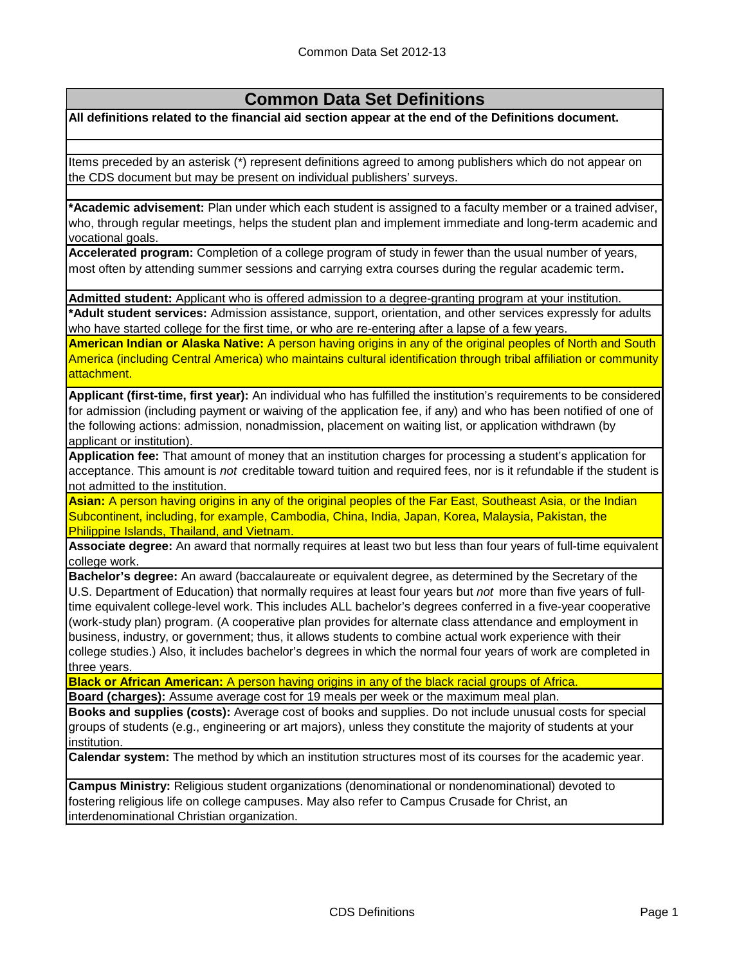# **Common Data Set Definitions**

**All definitions related to the financial aid section appear at the end of the Definitions document.**

Items preceded by an asterisk (\*) represent definitions agreed to among publishers which do not appear on the CDS document but may be present on individual publishers' surveys.

**\*Academic advisement:** Plan under which each student is assigned to a faculty member or a trained adviser, who, through regular meetings, helps the student plan and implement immediate and long-term academic and vocational goals.

**Accelerated program:** Completion of a college program of study in fewer than the usual number of years, most often by attending summer sessions and carrying extra courses during the regular academic term**.**

**Admitted student:** Applicant who is offered admission to a degree-granting program at your institution. **\*Adult student services:** Admission assistance, support, orientation, and other services expressly for adults who have started college for the first time, or who are re-entering after a lapse of a few years.

**American Indian or Alaska Native:** A person having origins in any of the original peoples of North and South America (including Central America) who maintains cultural identification through tribal affiliation or community attachment.

**Applicant (first-time, first year):** An individual who has fulfilled the institution's requirements to be considered for admission (including payment or waiving of the application fee, if any) and who has been notified of one of the following actions: admission, nonadmission, placement on waiting list, or application withdrawn (by applicant or institution).

**Application fee:** That amount of money that an institution charges for processing a student's application for acceptance. This amount is *not* creditable toward tuition and required fees, nor is it refundable if the student is not admitted to the institution.

**Asian:** A person having origins in any of the original peoples of the Far East, Southeast Asia, or the Indian Subcontinent, including, for example, Cambodia, China, India, Japan, Korea, Malaysia, Pakistan, the Philippine Islands, Thailand, and Vietnam.

**Associate degree:** An award that normally requires at least two but less than four years of full-time equivalent college work.

**Bachelor's degree:** An award (baccalaureate or equivalent degree, as determined by the Secretary of the U.S. Department of Education) that normally requires at least four years but *not* more than five years of fulltime equivalent college-level work. This includes ALL bachelor's degrees conferred in a five-year cooperative (work-study plan) program. (A cooperative plan provides for alternate class attendance and employment in business, industry, or government; thus, it allows students to combine actual work experience with their college studies.) Also, it includes bachelor's degrees in which the normal four years of work are completed in three years.

**Black or African American:** A person having origins in any of the black racial groups of Africa.

**Board (charges):** Assume average cost for 19 meals per week or the maximum meal plan.

**Books and supplies (costs):** Average cost of books and supplies. Do not include unusual costs for special groups of students (e.g., engineering or art majors), unless they constitute the majority of students at your institution.

**Calendar system:** The method by which an institution structures most of its courses for the academic year.

**Campus Ministry:** Religious student organizations (denominational or nondenominational) devoted to fostering religious life on college campuses. May also refer to Campus Crusade for Christ, an interdenominational Christian organization.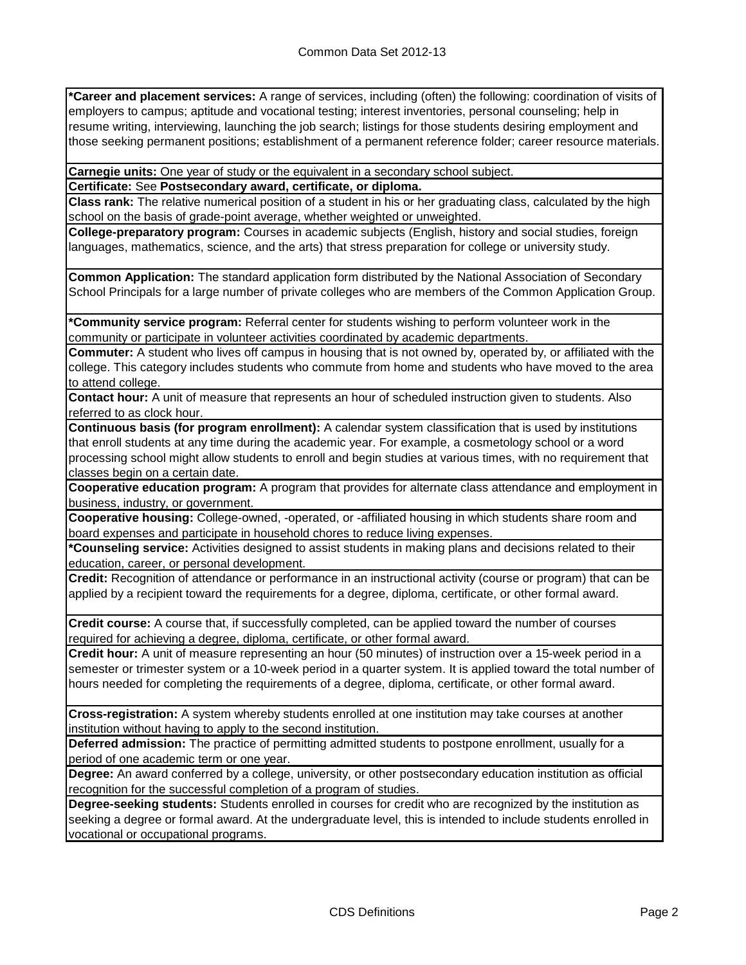**\*Career and placement services:** A range of services, including (often) the following: coordination of visits of employers to campus; aptitude and vocational testing; interest inventories, personal counseling; help in resume writing, interviewing, launching the job search; listings for those students desiring employment and those seeking permanent positions; establishment of a permanent reference folder; career resource materials.

**Carnegie units:** One year of study or the equivalent in a secondary school subject.

**Certificate:** See **Postsecondary award, certificate, or diploma.**

**Class rank:** The relative numerical position of a student in his or her graduating class, calculated by the high school on the basis of grade-point average, whether weighted or unweighted.

**College-preparatory program:** Courses in academic subjects (English, history and social studies, foreign languages, mathematics, science, and the arts) that stress preparation for college or university study.

**Common Application:** The standard application form distributed by the National Association of Secondary School Principals for a large number of private colleges who are members of the Common Application Group.

**\*Community service program:** Referral center for students wishing to perform volunteer work in the community or participate in volunteer activities coordinated by academic departments.

**Commuter:** A student who lives off campus in housing that is not owned by, operated by, or affiliated with the college. This category includes students who commute from home and students who have moved to the area to attend college.

**Contact hour:** A unit of measure that represents an hour of scheduled instruction given to students. Also referred to as clock hour.

**Continuous basis (for program enrollment):** A calendar system classification that is used by institutions that enroll students at any time during the academic year. For example, a cosmetology school or a word processing school might allow students to enroll and begin studies at various times, with no requirement that classes begin on a certain date.

**Cooperative education program:** A program that provides for alternate class attendance and employment in business, industry, or government.

**Cooperative housing:** College-owned, -operated, or -affiliated housing in which students share room and board expenses and participate in household chores to reduce living expenses.

**\*Counseling service:** Activities designed to assist students in making plans and decisions related to their education, career, or personal development.

**Credit:** Recognition of attendance or performance in an instructional activity (course or program) that can be applied by a recipient toward the requirements for a degree, diploma, certificate, or other formal award.

**Credit course:** A course that, if successfully completed, can be applied toward the number of courses required for achieving a degree, diploma, certificate, or other formal award.

**Credit hour:** A unit of measure representing an hour (50 minutes) of instruction over a 15-week period in a semester or trimester system or a 10-week period in a quarter system. It is applied toward the total number of hours needed for completing the requirements of a degree, diploma, certificate, or other formal award.

**Cross-registration:** A system whereby students enrolled at one institution may take courses at another institution without having to apply to the second institution.

**Deferred admission:** The practice of permitting admitted students to postpone enrollment, usually for a period of one academic term or one year.

**Degree:** An award conferred by a college, university, or other postsecondary education institution as official recognition for the successful completion of a program of studies.

**Degree-seeking students:** Students enrolled in courses for credit who are recognized by the institution as seeking a degree or formal award. At the undergraduate level, this is intended to include students enrolled in vocational or occupational programs.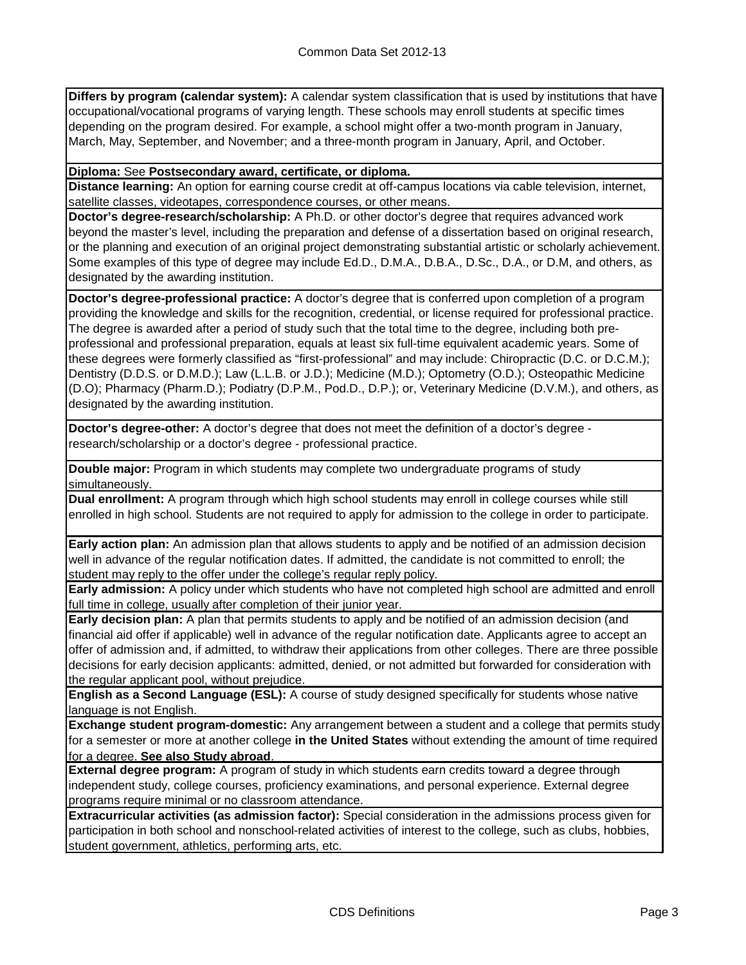**Differs by program (calendar system):** A calendar system classification that is used by institutions that have occupational/vocational programs of varying length. These schools may enroll students at specific times depending on the program desired. For example, a school might offer a two-month program in January, March, May, September, and November; and a three-month program in January, April, and October.

**Diploma:** See **Postsecondary award, certificate, or diploma.**

**Distance learning:** An option for earning course credit at off-campus locations via cable television, internet, satellite classes, videotapes, correspondence courses, or other means.

**Doctor's degree-research/scholarship:** A Ph.D. or other doctor's degree that requires advanced work beyond the master's level, including the preparation and defense of a dissertation based on original research, or the planning and execution of an original project demonstrating substantial artistic or scholarly achievement. Some examples of this type of degree may include Ed.D., D.M.A., D.B.A., D.Sc., D.A., or D.M, and others, as designated by the awarding institution.

**Doctor's degree-professional practice:** A doctor's degree that is conferred upon completion of a program providing the knowledge and skills for the recognition, credential, or license required for professional practice. The degree is awarded after a period of study such that the total time to the degree, including both preprofessional and professional preparation, equals at least six full-time equivalent academic years. Some of these degrees were formerly classified as "first-professional" and may include: Chiropractic (D.C. or D.C.M.); Dentistry (D.D.S. or D.M.D.); Law (L.L.B. or J.D.); Medicine (M.D.); Optometry (O.D.); Osteopathic Medicine (D.O); Pharmacy (Pharm.D.); Podiatry (D.P.M., Pod.D., D.P.); or, Veterinary Medicine (D.V.M.), and others, as designated by the awarding institution.

**Doctor's degree-other:** A doctor's degree that does not meet the definition of a doctor's degree research/scholarship or a doctor's degree - professional practice.

**Double major:** Program in which students may complete two undergraduate programs of study simultaneously.

**Dual enrollment:** A program through which high school students may enroll in college courses while still enrolled in high school. Students are not required to apply for admission to the college in order to participate.

**Early action plan:** An admission plan that allows students to apply and be notified of an admission decision well in advance of the regular notification dates. If admitted, the candidate is not committed to enroll; the student may reply to the offer under the college's regular reply policy.

**Early admission:** A policy under which students who have not completed high school are admitted and enroll full time in college, usually after completion of their junior year.

**Early decision plan:** A plan that permits students to apply and be notified of an admission decision (and financial aid offer if applicable) well in advance of the regular notification date. Applicants agree to accept an offer of admission and, if admitted, to withdraw their applications from other colleges. There are three possible decisions for early decision applicants: admitted, denied, or not admitted but forwarded for consideration with the regular applicant pool, without prejudice.

**English as a Second Language (ESL):** A course of study designed specifically for students whose native language is not English.

**Exchange student program-domestic:** Any arrangement between a student and a college that permits study for a semester or more at another college **in the United States** without extending the amount of time required for a degree. **See also Study abroad**.

**External degree program:** A program of study in which students earn credits toward a degree through independent study, college courses, proficiency examinations, and personal experience. External degree programs require minimal or no classroom attendance.

**Extracurricular activities (as admission factor):** Special consideration in the admissions process given for participation in both school and nonschool-related activities of interest to the college, such as clubs, hobbies, student government, athletics, performing arts, etc.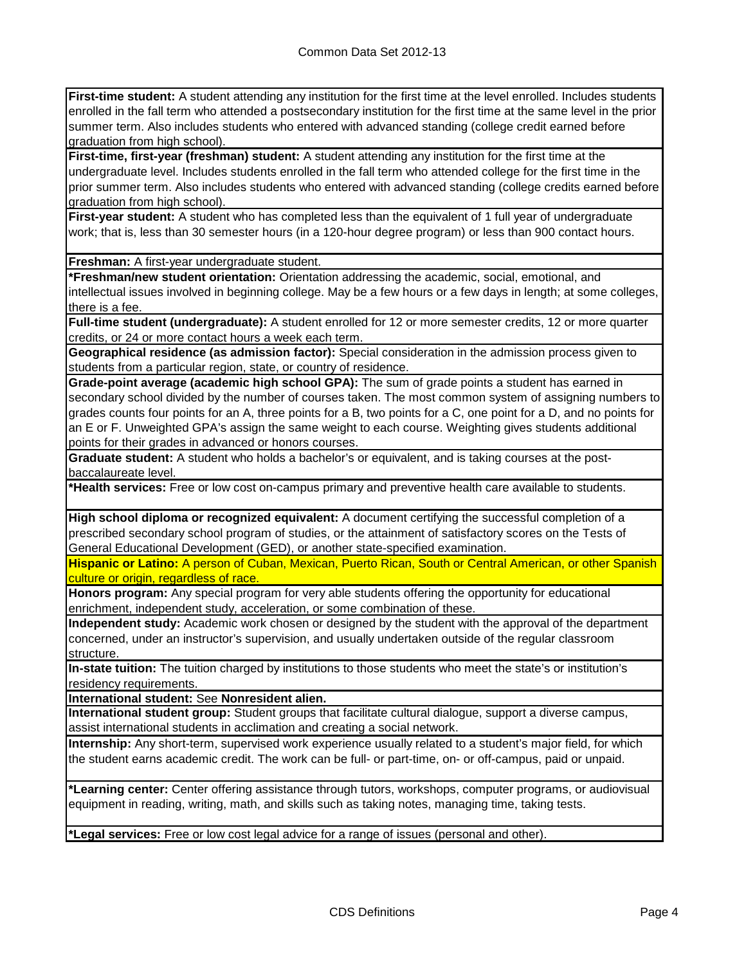**First-time student:** A student attending any institution for the first time at the level enrolled. Includes students enrolled in the fall term who attended a postsecondary institution for the first time at the same level in the prior summer term. Also includes students who entered with advanced standing (college credit earned before graduation from high school).

**First-time, first-year (freshman) student:** A student attending any institution for the first time at the undergraduate level. Includes students enrolled in the fall term who attended college for the first time in the prior summer term. Also includes students who entered with advanced standing (college credits earned before graduation from high school).

**First-year student:** A student who has completed less than the equivalent of 1 full year of undergraduate work; that is, less than 30 semester hours (in a 120-hour degree program) or less than 900 contact hours.

**Freshman:** A first-year undergraduate student.

**\*Freshman/new student orientation:** Orientation addressing the academic, social, emotional, and intellectual issues involved in beginning college. May be a few hours or a few days in length; at some colleges, there is a fee.

**Full-time student (undergraduate):** A student enrolled for 12 or more semester credits, 12 or more quarter credits, or 24 or more contact hours a week each term.

**Geographical residence (as admission factor):** Special consideration in the admission process given to students from a particular region, state, or country of residence.

**Grade-point average (academic high school GPA):** The sum of grade points a student has earned in secondary school divided by the number of courses taken. The most common system of assigning numbers to grades counts four points for an A, three points for a B, two points for a C, one point for a D, and no points for an E or F. Unweighted GPA's assign the same weight to each course. Weighting gives students additional points for their grades in advanced or honors courses.

**Graduate student:** A student who holds a bachelor's or equivalent, and is taking courses at the postbaccalaureate level.

**\*Health services:** Free or low cost on-campus primary and preventive health care available to students.

**High school diploma or recognized equivalent:** A document certifying the successful completion of a prescribed secondary school program of studies, or the attainment of satisfactory scores on the Tests of General Educational Development (GED), or another state-specified examination.

**Hispanic or Latino:** A person of Cuban, Mexican, Puerto Rican, South or Central American, or other Spanish culture or origin, regardless of race.

**Honors program:** Any special program for very able students offering the opportunity for educational enrichment, independent study, acceleration, or some combination of these.

**Independent study:** Academic work chosen or designed by the student with the approval of the department concerned, under an instructor's supervision, and usually undertaken outside of the regular classroom structure.

**In-state tuition:** The tuition charged by institutions to those students who meet the state's or institution's residency requirements.

**International student:** See **Nonresident alien.**

**International student group:** Student groups that facilitate cultural dialogue, support a diverse campus, assist international students in acclimation and creating a social network.

**Internship:** Any short-term, supervised work experience usually related to a student's major field, for which the student earns academic credit. The work can be full- or part-time, on- or off-campus, paid or unpaid.

**\*Learning center:** Center offering assistance through tutors, workshops, computer programs, or audiovisual equipment in reading, writing, math, and skills such as taking notes, managing time, taking tests.

**\*Legal services:** Free or low cost legal advice for a range of issues (personal and other).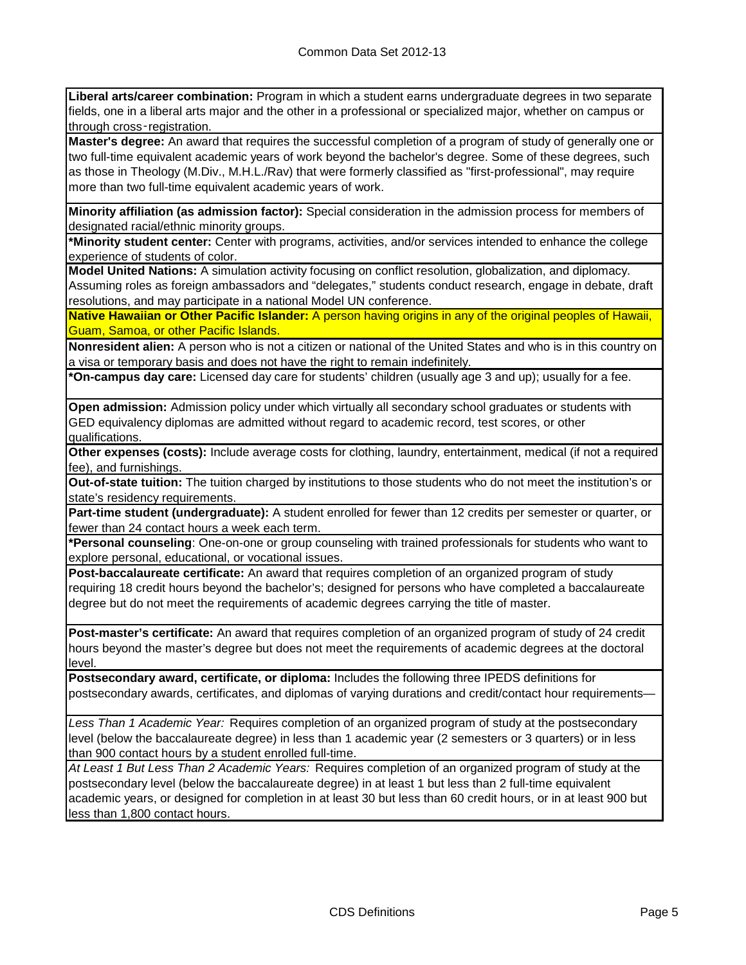**Liberal arts/career combination:** Program in which a student earns undergraduate degrees in two separate fields, one in a liberal arts major and the other in a professional or specialized major, whether on campus or through cross-registration.

**Master's degree:** An award that requires the successful completion of a program of study of generally one or two full-time equivalent academic years of work beyond the bachelor's degree. Some of these degrees, such as those in Theology (M.Div., M.H.L./Rav) that were formerly classified as "first-professional", may require more than two full-time equivalent academic years of work.

**Minority affiliation (as admission factor):** Special consideration in the admission process for members of designated racial/ethnic minority groups.

**\*Minority student center:** Center with programs, activities, and/or services intended to enhance the college experience of students of color.

**Model United Nations:** A simulation activity focusing on conflict resolution, globalization, and diplomacy. Assuming roles as foreign ambassadors and "delegates," students conduct research, engage in debate, draft resolutions, and may participate in a national Model UN conference.

**Native Hawaiian or Other Pacific Islander:** A person having origins in any of the original peoples of Hawaii, Guam, Samoa, or other Pacific Islands.

**Nonresident alien:** A person who is not a citizen or national of the United States and who is in this country on a visa or temporary basis and does not have the right to remain indefinitely.

**\*On-campus day care:** Licensed day care for students' children (usually age 3 and up); usually for a fee.

**Open admission:** Admission policy under which virtually all secondary school graduates or students with GED equivalency diplomas are admitted without regard to academic record, test scores, or other qualifications.

**Other expenses (costs):** Include average costs for clothing, laundry, entertainment, medical (if not a required fee), and furnishings.

**Out-of-state tuition:** The tuition charged by institutions to those students who do not meet the institution's or state's residency requirements.

**Part-time student (undergraduate):** A student enrolled for fewer than 12 credits per semester or quarter, or fewer than 24 contact hours a week each term.

**\*Personal counseling**: One-on-one or group counseling with trained professionals for students who want to explore personal, educational, or vocational issues.

**Post-baccalaureate certificate:** An award that requires completion of an organized program of study requiring 18 credit hours beyond the bachelor's; designed for persons who have completed a baccalaureate degree but do not meet the requirements of academic degrees carrying the title of master.

**Post-master's certificate:** An award that requires completion of an organized program of study of 24 credit hours beyond the master's degree but does not meet the requirements of academic degrees at the doctoral level.

**Postsecondary award, certificate, or diploma:** Includes the following three IPEDS definitions for postsecondary awards, certificates, and diplomas of varying durations and credit/contact hour requirements—

*Less Than 1 Academic Year:* Requires completion of an organized program of study at the postsecondary level (below the baccalaureate degree) in less than 1 academic year (2 semesters or 3 quarters) or in less than 900 contact hours by a student enrolled full-time.

*At Least 1 But Less Than 2 Academic Years:* Requires completion of an organized program of study at the postsecondary level (below the baccalaureate degree) in at least 1 but less than 2 full-time equivalent academic years, or designed for completion in at least 30 but less than 60 credit hours, or in at least 900 but less than 1,800 contact hours.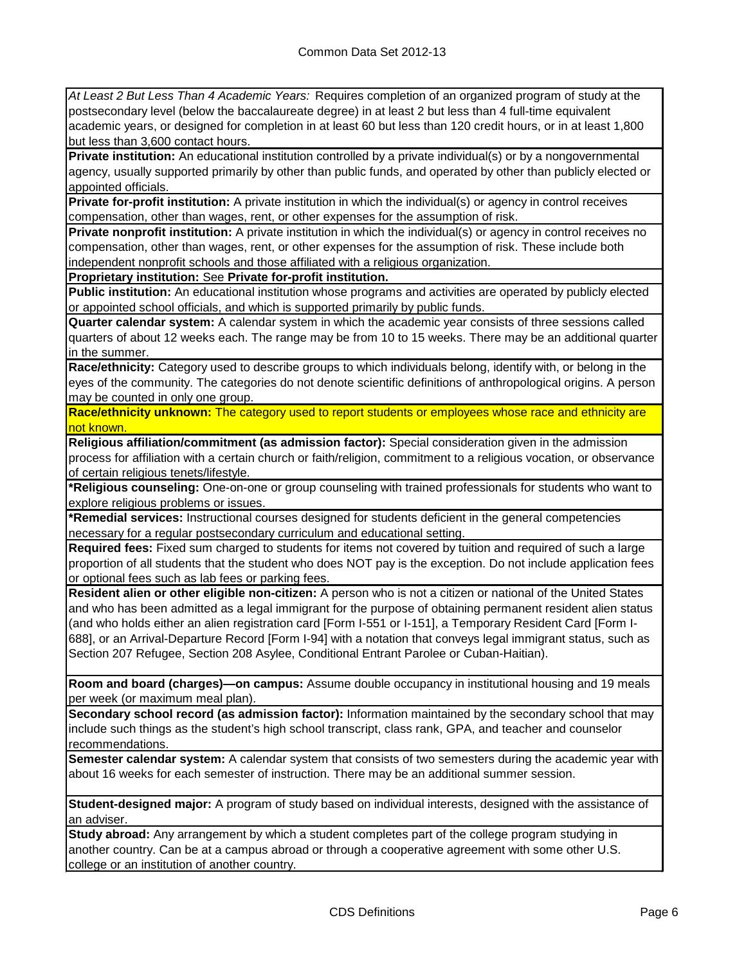*At Least 2 But Less Than 4 Academic Years:* Requires completion of an organized program of study at the postsecondary level (below the baccalaureate degree) in at least 2 but less than 4 full-time equivalent academic years, or designed for completion in at least 60 but less than 120 credit hours, or in at least 1,800 but less than 3,600 contact hours.

**Private institution:** An educational institution controlled by a private individual(s) or by a nongovernmental agency, usually supported primarily by other than public funds, and operated by other than publicly elected or appointed officials.

**Private for-profit institution:** A private institution in which the individual(s) or agency in control receives compensation, other than wages, rent, or other expenses for the assumption of risk.

**Private nonprofit institution:** A private institution in which the individual(s) or agency in control receives no compensation, other than wages, rent, or other expenses for the assumption of risk. These include both independent nonprofit schools and those affiliated with a religious organization.

**Proprietary institution:** See **Private for-profit institution.**

**Public institution:** An educational institution whose programs and activities are operated by publicly elected or appointed school officials, and which is supported primarily by public funds.

**Quarter calendar system:** A calendar system in which the academic year consists of three sessions called quarters of about 12 weeks each. The range may be from 10 to 15 weeks. There may be an additional quarter in the summer.

**Race/ethnicity:** Category used to describe groups to which individuals belong, identify with, or belong in the eyes of the community. The categories do not denote scientific definitions of anthropological origins. A person may be counted in only one group.

**Race/ethnicity unknown:** The category used to report students or employees whose race and ethnicity are not known.

**Religious affiliation/commitment (as admission factor):** Special consideration given in the admission process for affiliation with a certain church or faith/religion, commitment to a religious vocation, or observance of certain religious tenets/lifestyle.

**\*Religious counseling:** One-on-one or group counseling with trained professionals for students who want to explore religious problems or issues.

**\*Remedial services:** Instructional courses designed for students deficient in the general competencies necessary for a regular postsecondary curriculum and educational setting.

**Required fees:** Fixed sum charged to students for items not covered by tuition and required of such a large proportion of all students that the student who does NOT pay is the exception. Do not include application fees or optional fees such as lab fees or parking fees.

**Resident alien or other eligible non-citizen:** A person who is not a citizen or national of the United States and who has been admitted as a legal immigrant for the purpose of obtaining permanent resident alien status (and who holds either an alien registration card [Form I-551 or I-151], a Temporary Resident Card [Form I-688], or an Arrival-Departure Record [Form I-94] with a notation that conveys legal immigrant status, such as Section 207 Refugee, Section 208 Asylee, Conditional Entrant Parolee or Cuban-Haitian).

**Room and board (charges)—on campus:** Assume double occupancy in institutional housing and 19 meals per week (or maximum meal plan).

**Secondary school record (as admission factor):** Information maintained by the secondary school that may include such things as the student's high school transcript, class rank, GPA, and teacher and counselor recommendations.

**Semester calendar system:** A calendar system that consists of two semesters during the academic year with about 16 weeks for each semester of instruction. There may be an additional summer session.

**Student-designed major:** A program of study based on individual interests, designed with the assistance of an adviser.

**Study abroad:** Any arrangement by which a student completes part of the college program studying in another country. Can be at a campus abroad or through a cooperative agreement with some other U.S. college or an institution of another country.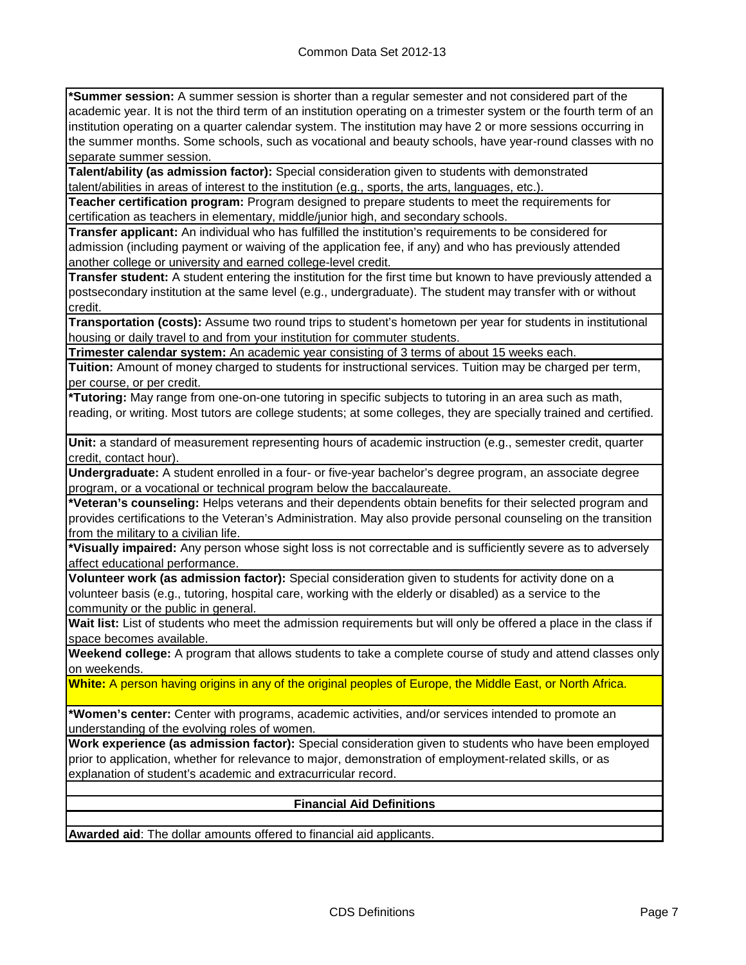**\*Summer session:** A summer session is shorter than a regular semester and not considered part of the academic year. It is not the third term of an institution operating on a trimester system or the fourth term of an institution operating on a quarter calendar system. The institution may have 2 or more sessions occurring in the summer months. Some schools, such as vocational and beauty schools, have year-round classes with no separate summer session.

**Talent/ability (as admission factor):** Special consideration given to students with demonstrated talent/abilities in areas of interest to the institution (e.g., sports, the arts, languages, etc.).

**Teacher certification program:** Program designed to prepare students to meet the requirements for certification as teachers in elementary, middle/junior high, and secondary schools.

**Transfer applicant:** An individual who has fulfilled the institution's requirements to be considered for admission (including payment or waiving of the application fee, if any) and who has previously attended another college or university and earned college-level credit.

**Transfer student:** A student entering the institution for the first time but known to have previously attended a postsecondary institution at the same level (e.g., undergraduate). The student may transfer with or without credit.

**Transportation (costs):** Assume two round trips to student's hometown per year for students in institutional housing or daily travel to and from your institution for commuter students.

**Trimester calendar system:** An academic year consisting of 3 terms of about 15 weeks each.

**Tuition:** Amount of money charged to students for instructional services. Tuition may be charged per term, per course, or per credit.

**\*Tutoring:** May range from one-on-one tutoring in specific subjects to tutoring in an area such as math, reading, or writing. Most tutors are college students; at some colleges, they are specially trained and certified.

**Unit:** a standard of measurement representing hours of academic instruction (e.g., semester credit, quarter credit, contact hour).

**Undergraduate:** A student enrolled in a four- or five-year bachelor's degree program, an associate degree program, or a vocational or technical program below the baccalaureate.

**\*Veteran's counseling:** Helps veterans and their dependents obtain benefits for their selected program and provides certifications to the Veteran's Administration. May also provide personal counseling on the transition from the military to a civilian life.

**\*Visually impaired:** Any person whose sight loss is not correctable and is sufficiently severe as to adversely affect educational performance.

**Volunteer work (as admission factor):** Special consideration given to students for activity done on a volunteer basis (e.g., tutoring, hospital care, working with the elderly or disabled) as a service to the community or the public in general.

**Wait list:** List of students who meet the admission requirements but will only be offered a place in the class if space becomes available.

**Weekend college:** A program that allows students to take a complete course of study and attend classes only on weekends.

**White:** A person having origins in any of the original peoples of Europe, the Middle East, or North Africa.

**\*Women's center:** Center with programs, academic activities, and/or services intended to promote an understanding of the evolving roles of women.

**Work experience (as admission factor):** Special consideration given to students who have been employed prior to application, whether for relevance to major, demonstration of employment-related skills, or as explanation of student's academic and extracurricular record.

## **Financial Aid Definitions**

**Awarded aid**: The dollar amounts offered to financial aid applicants.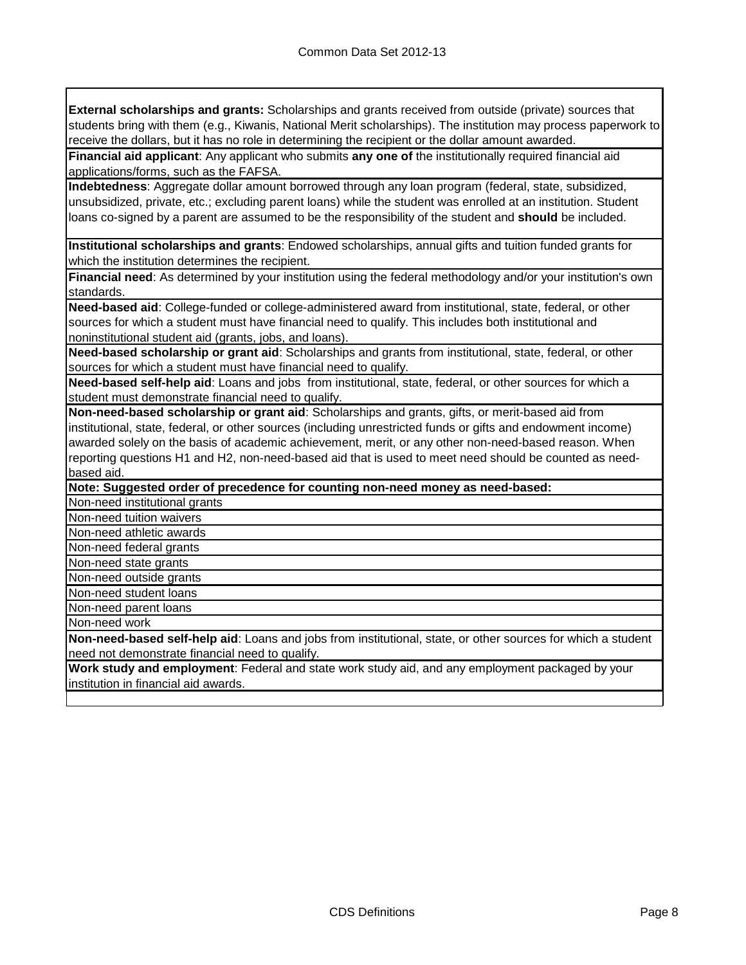**External scholarships and grants:** Scholarships and grants received from outside (private) sources that students bring with them (e.g., Kiwanis, National Merit scholarships). The institution may process paperwork to receive the dollars, but it has no role in determining the recipient or the dollar amount awarded.

**Financial aid applicant**: Any applicant who submits **any one of** the institutionally required financial aid applications/forms, such as the FAFSA.

**Indebtedness**: Aggregate dollar amount borrowed through any loan program (federal, state, subsidized, unsubsidized, private, etc.; excluding parent loans) while the student was enrolled at an institution. Student loans co-signed by a parent are assumed to be the responsibility of the student and **should** be included.

**Institutional scholarships and grants**: Endowed scholarships, annual gifts and tuition funded grants for which the institution determines the recipient.

**Financial need**: As determined by your institution using the federal methodology and/or your institution's own standards.

**Need-based aid**: College-funded or college-administered award from institutional, state, federal, or other sources for which a student must have financial need to qualify. This includes both institutional and noninstitutional student aid (grants, jobs, and loans).

**Need-based scholarship or grant aid**: Scholarships and grants from institutional, state, federal, or other sources for which a student must have financial need to qualify.

**Need-based self-help aid**: Loans and jobs from institutional, state, federal, or other sources for which a student must demonstrate financial need to qualify.

**Non-need-based scholarship or grant aid**: Scholarships and grants, gifts, or merit-based aid from institutional, state, federal, or other sources (including unrestricted funds or gifts and endowment income) awarded solely on the basis of academic achievement, merit, or any other non-need-based reason. When reporting questions H1 and H2, non-need-based aid that is used to meet need should be counted as needbased aid.

**Note: Suggested order of precedence for counting non-need money as need-based:**

Non-need institutional grants

Non-need tuition waivers

Non-need athletic awards

Non-need federal grants Non-need state grants

Non-need outside grants

Non-need student loans

Non-need parent loans

Non-need work

**Non-need-based self-help aid**: Loans and jobs from institutional, state, or other sources for which a student need not demonstrate financial need to qualify.

**Work study and employment**: Federal and state work study aid, and any employment packaged by your institution in financial aid awards.